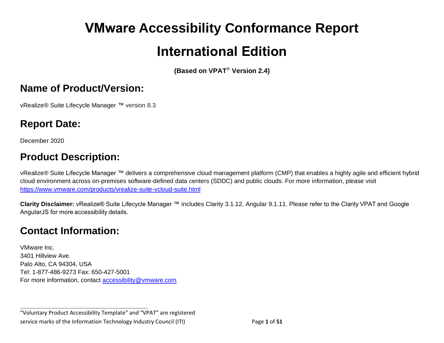# **VMware Accessibility Conformance Report International Edition**

**(Based on VPAT**® **Version 2.4)**

#### **Name of Product/Version:**

vRealize® Suite Lifecycle Manager ™ version 8.3

## **Report Date:**

December 2020

# **Product Description:**

vRealize® Suite Lifecycle Manager ™ delivers a comprehensive cloud management platform (CMP) that enables a highly agile and efficient hybrid cloud environment across on-premises software-defined data centers (SDDC) and public clouds. For more information, please visit <https://www.vmware.com/products/vrealize-suite-vcloud-suite.html>

**Clarity Disclaimer:** vRealize® Suite Lifecycle Manager ™ includes Clarity 3.1.12, Angular 9.1.11. Please refer to the Clarity VPAT and Google AngularJS for more accessibility details.

### **Contact Information:**

VMware Inc. 3401 Hillview Ave. Palo Alto, CA 94304, USA Tel: 1-877-486-9273 Fax: 650-427-5001 For more information, contact [accessibility@vmware.com](mailto:accessibility@vmware.com)

**\_\_\_\_\_\_\_\_\_\_\_\_\_\_\_\_\_\_\_\_\_\_\_\_\_\_\_\_\_\_\_\_\_\_**

"Voluntary Product Accessibility Template" and "VPAT" are registered service marks of the Information Technology Industry Council (ITI) Page **1** of **51**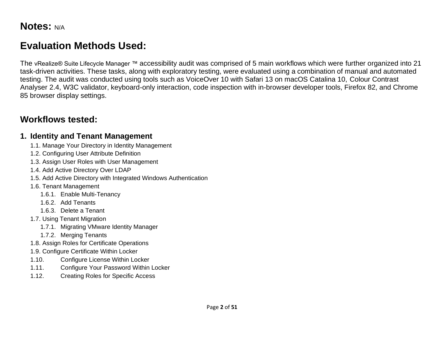# **Evaluation Methods Used:**

The vRealize® Suite Lifecycle Manager ™ accessibility audit was comprised of 5 main workflows which were further organized into 21 task-driven activities. These tasks, along with exploratory testing, were evaluated using a combination of manual and automated testing. The audit was conducted using tools such as VoiceOver 10 with Safari 13 on macOS Catalina 10, Colour Contrast Analyser 2.4, W3C validator, keyboard-only interaction, code inspection with in-browser developer tools, Firefox 82, and Chrome 85 browser display settings.

#### **Workflows tested:**

#### **1. Identity and Tenant Management**

- 1.1. Manage Your Directory in Identity Management
- 1.2. Configuring User Attribute Definition
- 1.3. Assign User Roles with User Management
- 1.4. Add Active Directory Over LDAP
- 1.5. Add Active Directory with Integrated Windows Authentication
- 1.6. Tenant Management
	- 1.6.1. Enable Multi-Tenancy
	- 1.6.2. Add Tenants
	- 1.6.3. Delete a Tenant
- 1.7. Using Tenant Migration
	- 1.7.1. Migrating VMware Identity Manager
	- 1.7.2. Merging Tenants
- 1.8. Assign Roles for Certificate Operations
- 1.9. Configure Certificate Within Locker
- 1.10. Configure License Within Locker
- 1.11. Configure Your Password Within Locker
- 1.12. Creating Roles for Specific Access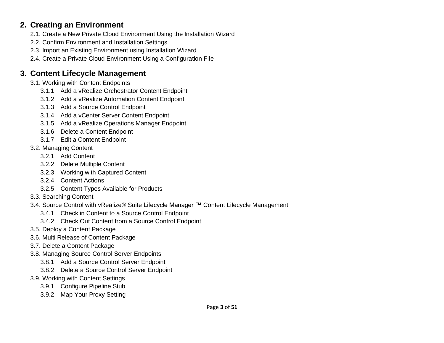#### **2. Creating an Environment**

- 2.1. Create a New Private Cloud Environment Using the Installation Wizard
- 2.2. Confirm Environment and Installation Settings
- 2.3. Import an Existing Environment using Installation Wizard
- 2.4. Create a Private Cloud Environment Using a Configuration File

#### **3. Content Lifecycle Management**

- 3.1. Working with Content Endpoints
	- 3.1.1. Add a vRealize Orchestrator Content Endpoint
	- 3.1.2. Add a vRealize Automation Content Endpoint
	- 3.1.3. Add a Source Control Endpoint
	- 3.1.4. Add a vCenter Server Content Endpoint
	- 3.1.5. Add a vRealize Operations Manager Endpoint
	- 3.1.6. Delete a Content Endpoint
	- 3.1.7. Edit a Content Endpoint
- 3.2. Managing Content
	- 3.2.1. Add Content
	- 3.2.2. Delete Multiple Content
	- 3.2.3. Working with Captured Content
	- 3.2.4. Content Actions
	- 3.2.5. Content Types Available for Products
- 3.3. Searching Content
- 3.4. Source Control with vRealize® Suite Lifecycle Manager ™ Content Lifecycle Management
	- 3.4.1. Check in Content to a Source Control Endpoint
	- 3.4.2. Check Out Content from a Source Control Endpoint
- 3.5. Deploy a Content Package
- 3.6. Multi Release of Content Package
- 3.7. Delete a Content Package
- 3.8. Managing Source Control Server Endpoints
	- 3.8.1. Add a Source Control Server Endpoint
	- 3.8.2. Delete a Source Control Server Endpoint
- 3.9. Working with Content Settings
	- 3.9.1. Configure Pipeline Stub
	- 3.9.2. Map Your Proxy Setting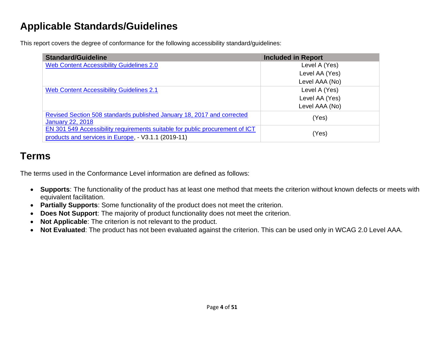# **Applicable Standards/Guidelines**

This report covers the degree of conformance for the following accessibility standard/guidelines:

| <b>Standard/Guideline</b>                                                                                                           | <b>Included in Report</b> |
|-------------------------------------------------------------------------------------------------------------------------------------|---------------------------|
| <b>Web Content Accessibility Guidelines 2.0</b>                                                                                     | Level A (Yes)             |
|                                                                                                                                     | Level AA (Yes)            |
|                                                                                                                                     | Level AAA (No)            |
| <b>Web Content Accessibility Guidelines 2.1</b>                                                                                     | Level A (Yes)             |
|                                                                                                                                     | Level AA (Yes)            |
|                                                                                                                                     | Level AAA (No)            |
| Revised Section 508 standards published January 18, 2017 and corrected<br><b>January 22, 2018</b>                                   | (Yes)                     |
| EN 301 549 Accessibility requirements suitable for public procurement of ICT<br>products and services in Europe, - V3.1.1 (2019-11) | (Yes)                     |

## **Terms**

The terms used in the Conformance Level information are defined as follows:

- **Supports**: The functionality of the product has at least one method that meets the criterion without known defects or meets with equivalent facilitation.
- **Partially Supports**: Some functionality of the product does not meet the criterion.
- **Does Not Support**: The majority of product functionality does not meet the criterion.
- **Not Applicable**: The criterion is not relevant to the product.
- <span id="page-3-0"></span>• **Not Evaluated**: The product has not been evaluated against the criterion. This can be used only in WCAG 2.0 Level AAA.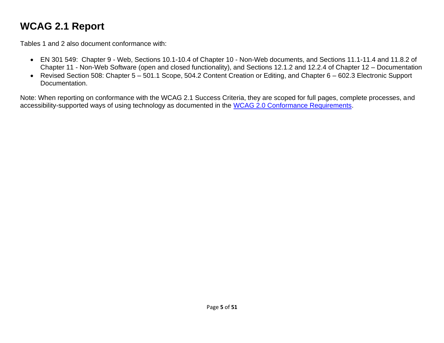# **WCAG 2.1 Report**

Tables 1 and 2 also document conformance with:

- EN 301 549: Chapter 9 Web, Sections 10.1-10.4 of Chapter 10 Non-Web documents, and Sections 11.1-11.4 and 11.8.2 of Chapter 11 - Non-Web Software (open and closed functionality), and Sections 12.1.2 and 12.2.4 of Chapter 12 – Documentation
- Revised Section 508: Chapter 5 501.1 Scope, 504.2 Content Creation or Editing, and Chapter 6 602.3 Electronic Support Documentation.

Note: When reporting on conformance with the WCAG 2.1 Success Criteria, they are scoped for full pages, complete processes, and accessibility-supported ways of using technology as documented in the [WCAG 2.0 Conformance Requirements.](https://www.w3.org/TR/WCAG20/#conformance-reqs)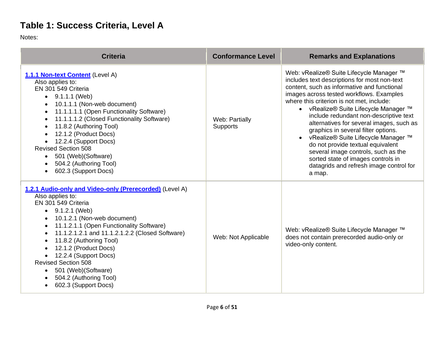# **Table 1: Success Criteria, Level A**

Notes:

| <b>Criteria</b>                                                                                                                                                                                                                                                                                                                                                                                                                                                               | <b>Conformance Level</b>   | <b>Remarks and Explanations</b>                                                                                                                                                                                                                                                                                                                                                                                                                                                                                                                                                                                      |
|-------------------------------------------------------------------------------------------------------------------------------------------------------------------------------------------------------------------------------------------------------------------------------------------------------------------------------------------------------------------------------------------------------------------------------------------------------------------------------|----------------------------|----------------------------------------------------------------------------------------------------------------------------------------------------------------------------------------------------------------------------------------------------------------------------------------------------------------------------------------------------------------------------------------------------------------------------------------------------------------------------------------------------------------------------------------------------------------------------------------------------------------------|
| 1.1.1 Non-text Content (Level A)<br>Also applies to:<br>EN 301 549 Criteria<br>$\bullet$ 9.1.1.1 (Web)<br>10.1.1.1 (Non-web document)<br>$\bullet$<br>11.1.1.1.1 (Open Functionality Software)<br>$\bullet$<br>11.1.1.1.2 (Closed Functionality Software)<br>$\bullet$<br>11.8.2 (Authoring Tool)<br>12.1.2 (Product Docs)<br>12.2.4 (Support Docs)<br><b>Revised Section 508</b><br>501 (Web) (Software)<br>504.2 (Authoring Tool)<br>602.3 (Support Docs)                   | Web: Partially<br>Supports | Web: vRealize® Suite Lifecycle Manager ™<br>includes text descriptions for most non-text<br>content, such as informative and functional<br>images across tested workflows. Examples<br>where this criterion is not met, include:<br>• vRealize® Suite Lifecycle Manager ™<br>include redundant non-descriptive text<br>alternatives for several images, such as<br>graphics in several filter options.<br>vRealize® Suite Lifecycle Manager ™<br>do not provide textual equivalent<br>several image controls, such as the<br>sorted state of images controls in<br>datagrids and refresh image control for<br>a map. |
| 1.2.1 Audio-only and Video-only (Prerecorded) (Level A)<br>Also applies to:<br>EN 301 549 Criteria<br>9.1.2.1 (Web)<br>10.1.2.1 (Non-web document)<br>11.1.2.1.1 (Open Functionality Software)<br>$\bullet$<br>11.1.2.1.2.1 and 11.1.2.1.2.2 (Closed Software)<br>$\bullet$<br>11.8.2 (Authoring Tool)<br>12.1.2 (Product Docs)<br>12.2.4 (Support Docs)<br><b>Revised Section 508</b><br>501 (Web) (Software)<br>$\bullet$<br>504.2 (Authoring Tool)<br>602.3 (Support Docs) | Web: Not Applicable        | Web: vRealize® Suite Lifecycle Manager ™<br>does not contain prerecorded audio-only or<br>video-only content.                                                                                                                                                                                                                                                                                                                                                                                                                                                                                                        |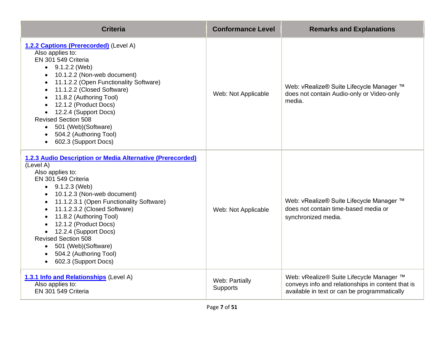| <b>Criteria</b>                                                                                                                                                                                                                                                                                                                                                                                                                                                                                                                           | <b>Conformance Level</b>          | <b>Remarks and Explanations</b>                                                                                                               |
|-------------------------------------------------------------------------------------------------------------------------------------------------------------------------------------------------------------------------------------------------------------------------------------------------------------------------------------------------------------------------------------------------------------------------------------------------------------------------------------------------------------------------------------------|-----------------------------------|-----------------------------------------------------------------------------------------------------------------------------------------------|
| 1.2.2 Captions (Prerecorded) (Level A)<br>Also applies to:<br>EN 301 549 Criteria<br>$\bullet$ 9.1.2.2 (Web)<br>10.1.2.2 (Non-web document)<br>11.1.2.2 (Open Functionality Software)<br>11.1.2.2 (Closed Software)<br>$\bullet$<br>11.8.2 (Authoring Tool)<br>12.1.2 (Product Docs)<br>• 12.2.4 (Support Docs)<br><b>Revised Section 508</b><br>• 501 (Web) (Software)<br>504.2 (Authoring Tool)<br>602.3 (Support Docs)<br>$\bullet$                                                                                                    | Web: Not Applicable               | Web: vRealize® Suite Lifecycle Manager ™<br>does not contain Audio-only or Video-only<br>media.                                               |
| 1.2.3 Audio Description or Media Alternative (Prerecorded)<br>(Level A)<br>Also applies to:<br>EN 301 549 Criteria<br>$\bullet$ 9.1.2.3 (Web)<br>10.1.2.3 (Non-web document)<br>$\bullet$<br>11.1.2.3.1 (Open Functionality Software)<br>$\bullet$<br>11.1.2.3.2 (Closed Software)<br>$\bullet$<br>11.8.2 (Authoring Tool)<br>$\bullet$<br>12.1.2 (Product Docs)<br>• 12.2.4 (Support Docs)<br><b>Revised Section 508</b><br>501 (Web)(Software)<br>$\bullet$<br>504.2 (Authoring Tool)<br>$\bullet$<br>602.3 (Support Docs)<br>$\bullet$ | Web: Not Applicable               | Web: vRealize® Suite Lifecycle Manager ™<br>does not contain time-based media or<br>synchronized media.                                       |
| 1.3.1 Info and Relationships (Level A)<br>Also applies to:<br>EN 301 549 Criteria                                                                                                                                                                                                                                                                                                                                                                                                                                                         | Web: Partially<br><b>Supports</b> | Web: vRealize® Suite Lifecycle Manager ™<br>conveys info and relationships in content that is<br>available in text or can be programmatically |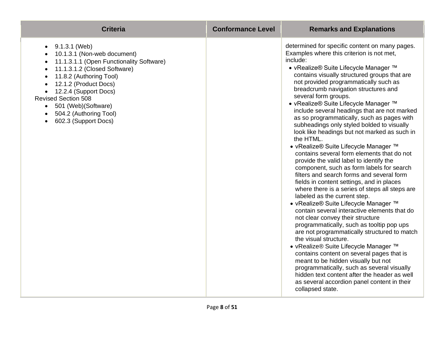| <b>Criteria</b>                                                                                                                                                                                                                                                                                                                                                                                                                    | <b>Conformance Level</b> | <b>Remarks and Explanations</b>                                                                                                                                                                                                                                                                                                                                                                                                                                                                                                                                                                                                                                                                                                                                                                                                                                                                                                                                                                                                                                                                                                                                                                                                                                                                                                                                                                                                                                         |
|------------------------------------------------------------------------------------------------------------------------------------------------------------------------------------------------------------------------------------------------------------------------------------------------------------------------------------------------------------------------------------------------------------------------------------|--------------------------|-------------------------------------------------------------------------------------------------------------------------------------------------------------------------------------------------------------------------------------------------------------------------------------------------------------------------------------------------------------------------------------------------------------------------------------------------------------------------------------------------------------------------------------------------------------------------------------------------------------------------------------------------------------------------------------------------------------------------------------------------------------------------------------------------------------------------------------------------------------------------------------------------------------------------------------------------------------------------------------------------------------------------------------------------------------------------------------------------------------------------------------------------------------------------------------------------------------------------------------------------------------------------------------------------------------------------------------------------------------------------------------------------------------------------------------------------------------------------|
| 9.1.3.1 (Web)<br>$\bullet$<br>10.1.3.1 (Non-web document)<br>11.1.3.1.1 (Open Functionality Software)<br>$\bullet$<br>11.1.3.1.2 (Closed Software)<br>$\bullet$<br>11.8.2 (Authoring Tool)<br>$\bullet$<br>12.1.2 (Product Docs)<br>$\bullet$<br>12.2.4 (Support Docs)<br>$\bullet$<br><b>Revised Section 508</b><br>501 (Web) (Software)<br>$\bullet$<br>504.2 (Authoring Tool)<br>$\bullet$<br>602.3 (Support Docs)<br>$\bullet$ |                          | determined for specific content on many pages.<br>Examples where this criterion is not met,<br>include:<br>• vRealize® Suite Lifecycle Manager ™<br>contains visually structured groups that are<br>not provided programmatically such as<br>breadcrumb navigation structures and<br>several form groups.<br>• vRealize® Suite Lifecycle Manager ™<br>include several headings that are not marked<br>as so programmatically, such as pages with<br>subheadings only styled bolded to visually<br>look like headings but not marked as such in<br>the HTML.<br>• vRealize® Suite Lifecycle Manager ™<br>contains several form elements that do not<br>provide the valid label to identify the<br>component, such as form labels for search<br>filters and search forms and several form<br>fields in content settings, and in places<br>where there is a series of steps all steps are<br>labeled as the current step.<br>• vRealize® Suite Lifecycle Manager ™<br>contain several interactive elements that do<br>not clear convey their structure<br>programmatically, such as tooltip pop ups<br>are not programmatically structured to match<br>the visual structure.<br>• vRealize® Suite Lifecycle Manager ™<br>contains content on several pages that is<br>meant to be hidden visually but not<br>programmatically, such as several visually<br>hidden text content after the header as well<br>as several accordion panel content in their<br>collapsed state. |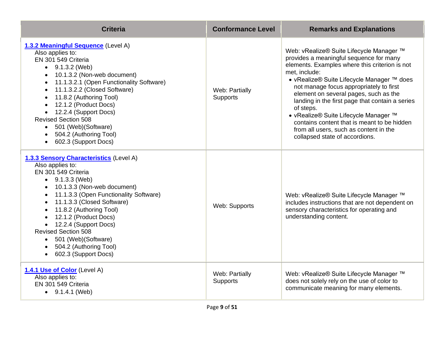| <b>Criteria</b>                                                                                                                                                                                                                                                                                                                                                                                                                                                                                        | <b>Conformance Level</b>   | <b>Remarks and Explanations</b>                                                                                                                                                                                                                                                                                                                                                                                                                                                                                              |
|--------------------------------------------------------------------------------------------------------------------------------------------------------------------------------------------------------------------------------------------------------------------------------------------------------------------------------------------------------------------------------------------------------------------------------------------------------------------------------------------------------|----------------------------|------------------------------------------------------------------------------------------------------------------------------------------------------------------------------------------------------------------------------------------------------------------------------------------------------------------------------------------------------------------------------------------------------------------------------------------------------------------------------------------------------------------------------|
| 1.3.2 Meaningful Sequence (Level A)<br>Also applies to:<br>EN 301 549 Criteria<br>$\bullet$ 9.1.3.2 (Web)<br>10.1.3.2 (Non-web document)<br>$\bullet$<br>11.1.3.2.1 (Open Functionality Software)<br>$\bullet$<br>11.1.3.2.2 (Closed Software)<br>$\bullet$<br>11.8.2 (Authoring Tool)<br>$\bullet$<br>12.1.2 (Product Docs)<br>• 12.2.4 (Support Docs)<br><b>Revised Section 508</b><br>501 (Web) (Software)<br>$\bullet$<br>504.2 (Authoring Tool)<br>$\bullet$<br>602.3 (Support Docs)<br>$\bullet$ | Web: Partially<br>Supports | Web: vRealize® Suite Lifecycle Manager ™<br>provides a meaningful sequence for many<br>elements. Examples where this criterion is not<br>met, include:<br>• vRealize® Suite Lifecycle Manager ™ does<br>not manage focus appropriately to first<br>element on several pages, such as the<br>landing in the first page that contain a series<br>of steps.<br>• vRealize® Suite Lifecycle Manager ™<br>contains content that is meant to be hidden<br>from all users, such as content in the<br>collapsed state of accordions. |
| 1.3.3 Sensory Characteristics (Level A)<br>Also applies to:<br>EN 301 549 Criteria<br>$\bullet$ 9.1.3.3 (Web)<br>• 10.1.3.3 (Non-web document)<br>11.1.3.3 (Open Functionality Software)<br>11.1.3.3 (Closed Software)<br>11.8.2 (Authoring Tool)<br>12.1.2 (Product Docs)<br>• 12.2.4 (Support Docs)<br><b>Revised Section 508</b><br>• 501 (Web) (Software)<br>• 504.2 (Authoring Tool)<br>• 602.3 (Support Docs)                                                                                    | Web: Supports              | Web: vRealize® Suite Lifecycle Manager ™<br>includes instructions that are not dependent on<br>sensory characteristics for operating and<br>understanding content.                                                                                                                                                                                                                                                                                                                                                           |
| 1.4.1 Use of Color (Level A)<br>Also applies to:<br>EN 301 549 Criteria<br>$\bullet$ 9.1.4.1 (Web)                                                                                                                                                                                                                                                                                                                                                                                                     | Web: Partially<br>Supports | Web: vRealize® Suite Lifecycle Manager ™<br>does not solely rely on the use of color to<br>communicate meaning for many elements.                                                                                                                                                                                                                                                                                                                                                                                            |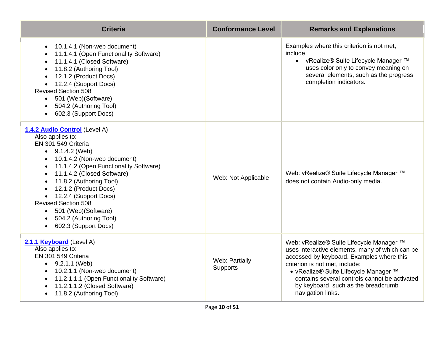| <b>Criteria</b>                                                                                                                                                                                                                                                                                                                                                                                 | <b>Conformance Level</b>   | <b>Remarks and Explanations</b>                                                                                                                                                                                                                                                                                                  |
|-------------------------------------------------------------------------------------------------------------------------------------------------------------------------------------------------------------------------------------------------------------------------------------------------------------------------------------------------------------------------------------------------|----------------------------|----------------------------------------------------------------------------------------------------------------------------------------------------------------------------------------------------------------------------------------------------------------------------------------------------------------------------------|
| 10.1.4.1 (Non-web document)<br>$\bullet$<br>11.1.4.1 (Open Functionality Software)<br>11.1.4.1 (Closed Software)<br>11.8.2 (Authoring Tool)<br>12.1.2 (Product Docs)<br>12.2.4 (Support Docs)<br><b>Revised Section 508</b><br>501 (Web) (Software)<br>504.2 (Authoring Tool)<br>602.3 (Support Docs)                                                                                           |                            | Examples where this criterion is not met,<br>include:<br>• vRealize® Suite Lifecycle Manager ™<br>uses color only to convey meaning on<br>several elements, such as the progress<br>completion indicators.                                                                                                                       |
| 1.4.2 Audio Control (Level A)<br>Also applies to:<br>EN 301 549 Criteria<br>$\bullet$ 9.1.4.2 (Web)<br>10.1.4.2 (Non-web document)<br>11.1.4.2 (Open Functionality Software)<br>11.1.4.2 (Closed Software)<br>11.8.2 (Authoring Tool)<br>12.1.2 (Product Docs)<br>12.2.4 (Support Docs)<br><b>Revised Section 508</b><br>501 (Web) (Software)<br>504.2 (Authoring Tool)<br>602.3 (Support Docs) | Web: Not Applicable        | Web: vRealize® Suite Lifecycle Manager ™<br>does not contain Audio-only media.                                                                                                                                                                                                                                                   |
| 2.1.1 Keyboard (Level A)<br>Also applies to:<br>EN 301 549 Criteria<br>$\bullet$ 9.2.1.1 (Web)<br>10.2.1.1 (Non-web document)<br>11.2.1.1.1 (Open Functionality Software)<br>11.2.1.1.2 (Closed Software)<br>11.8.2 (Authoring Tool)                                                                                                                                                            | Web: Partially<br>Supports | Web: vRealize® Suite Lifecycle Manager ™<br>uses interactive elements, many of which can be<br>accessed by keyboard. Examples where this<br>criterion is not met, include:<br>• vRealize® Suite Lifecycle Manager ™<br>contains several controls cannot be activated<br>by keyboard, such as the breadcrumb<br>navigation links. |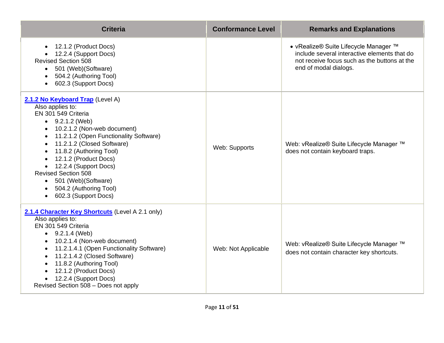| <b>Criteria</b>                                                                                                                                                                                                                                                                                                                                                                                            | <b>Conformance Level</b> | <b>Remarks and Explanations</b>                                                                                                                                |
|------------------------------------------------------------------------------------------------------------------------------------------------------------------------------------------------------------------------------------------------------------------------------------------------------------------------------------------------------------------------------------------------------------|--------------------------|----------------------------------------------------------------------------------------------------------------------------------------------------------------|
| 12.1.2 (Product Docs)<br>12.2.4 (Support Docs)<br><b>Revised Section 508</b><br>• 501 (Web) (Software)<br>504.2 (Authoring Tool)<br>602.3 (Support Docs)<br>$\bullet$                                                                                                                                                                                                                                      |                          | • vRealize® Suite Lifecycle Manager ™<br>include several interactive elements that do<br>not receive focus such as the buttons at the<br>end of modal dialogs. |
| 2.1.2 No Keyboard Trap (Level A)<br>Also applies to:<br>EN 301 549 Criteria<br>$-9.2.1.2$ (Web)<br>10.2.1.2 (Non-web document)<br>11.2.1.2 (Open Functionality Software)<br>11.2.1.2 (Closed Software)<br>11.8.2 (Authoring Tool)<br>12.1.2 (Product Docs)<br>• 12.2.4 (Support Docs)<br><b>Revised Section 508</b><br>501 (Web) (Software)<br>$\bullet$<br>504.2 (Authoring Tool)<br>602.3 (Support Docs) | Web: Supports            | Web: vRealize® Suite Lifecycle Manager ™<br>does not contain keyboard traps.                                                                                   |
| 2.1.4 Character Key Shortcuts (Level A 2.1 only)<br>Also applies to:<br>EN 301 549 Criteria<br>$\bullet$ 9.2.1.4 (Web)<br>• 10.2.1.4 (Non-web document)<br>11.2.1.4.1 (Open Functionality Software)<br>11.2.1.4.2 (Closed Software)<br>11.8.2 (Authoring Tool)<br>12.1.2 (Product Docs)<br>12.2.4 (Support Docs)<br>Revised Section 508 - Does not apply                                                   | Web: Not Applicable      | Web: vRealize® Suite Lifecycle Manager ™<br>does not contain character key shortcuts.                                                                          |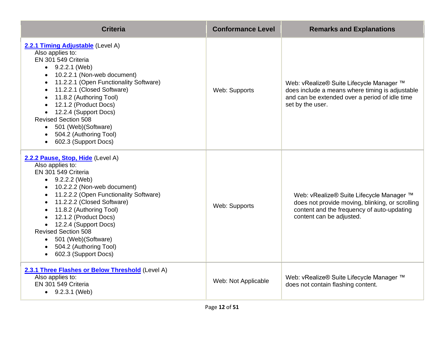| <b>Criteria</b>                                                                                                                                                                                                                                                                                                                                                                                                                                             | <b>Conformance Level</b> | <b>Remarks and Explanations</b>                                                                                                                                       |
|-------------------------------------------------------------------------------------------------------------------------------------------------------------------------------------------------------------------------------------------------------------------------------------------------------------------------------------------------------------------------------------------------------------------------------------------------------------|--------------------------|-----------------------------------------------------------------------------------------------------------------------------------------------------------------------|
| 2.2.1 Timing Adjustable (Level A)<br>Also applies to:<br>EN 301 549 Criteria<br>$\bullet$ 9.2.2.1 (Web)<br>• 10.2.2.1 (Non-web document)<br>11.2.2.1 (Open Functionality Software)<br>$\bullet$<br>11.2.2.1 (Closed Software)<br>$\bullet$<br>11.8.2 (Authoring Tool)<br>12.1.2 (Product Docs)<br>• 12.2.4 (Support Docs)<br><b>Revised Section 508</b><br>501 (Web) (Software)<br>$\bullet$<br>504.2 (Authoring Tool)<br>602.3 (Support Docs)<br>$\bullet$ | Web: Supports            | Web: vRealize® Suite Lifecycle Manager ™<br>does include a means where timing is adjustable<br>and can be extended over a period of idle time<br>set by the user.     |
| 2.2.2 Pause, Stop, Hide (Level A)<br>Also applies to:<br>EN 301 549 Criteria<br>$-9.2.2.2$ (Web)<br>• 10.2.2.2 (Non-web document)<br>• 11.2.2.2 (Open Functionality Software)<br>• 11.2.2.2 (Closed Software)<br>11.8.2 (Authoring Tool)<br>12.1.2 (Product Docs)<br>• 12.2.4 (Support Docs)<br><b>Revised Section 508</b><br>• 501 (Web) (Software)<br>• 504.2 (Authoring Tool)<br>602.3 (Support Docs)<br>$\bullet$                                       | Web: Supports            | Web: vRealize® Suite Lifecycle Manager ™<br>does not provide moving, blinking, or scrolling<br>content and the frequency of auto-updating<br>content can be adjusted. |
| 2.3.1 Three Flashes or Below Threshold (Level A)<br>Also applies to:<br>EN 301 549 Criteria<br>$\bullet$ 9.2.3.1 (Web)                                                                                                                                                                                                                                                                                                                                      | Web: Not Applicable      | Web: vRealize® Suite Lifecycle Manager ™<br>does not contain flashing content.                                                                                        |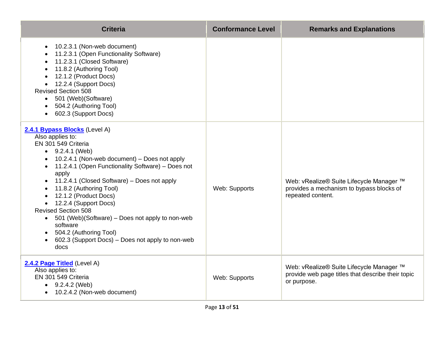| <b>Criteria</b>                                                                                                                                                                                                                                                                                                                                                                                                                                                                                                                    | <b>Conformance Level</b> | <b>Remarks and Explanations</b>                                                                              |
|------------------------------------------------------------------------------------------------------------------------------------------------------------------------------------------------------------------------------------------------------------------------------------------------------------------------------------------------------------------------------------------------------------------------------------------------------------------------------------------------------------------------------------|--------------------------|--------------------------------------------------------------------------------------------------------------|
| 10.2.3.1 (Non-web document)<br>$\bullet$<br>11.2.3.1 (Open Functionality Software)<br>11.2.3.1 (Closed Software)<br>11.8.2 (Authoring Tool)<br>12.1.2 (Product Docs)<br>12.2.4 (Support Docs)<br><b>Revised Section 508</b><br>501 (Web) (Software)<br>504.2 (Authoring Tool)<br>602.3 (Support Docs)                                                                                                                                                                                                                              |                          |                                                                                                              |
| 2.4.1 Bypass Blocks (Level A)<br>Also applies to:<br>EN 301 549 Criteria<br>$\bullet$ 9.2.4.1 (Web)<br>10.2.4.1 (Non-web document) - Does not apply<br>11.2.4.1 (Open Functionality Software) - Does not<br>apply<br>11.2.4.1 (Closed Software) – Does not apply<br>11.8.2 (Authoring Tool)<br>12.1.2 (Product Docs)<br>12.2.4 (Support Docs)<br><b>Revised Section 508</b><br>• 501 (Web)(Software) – Does not apply to non-web<br>software<br>504.2 (Authoring Tool)<br>602.3 (Support Docs) – Does not apply to non-web<br>docs | Web: Supports            | Web: vRealize® Suite Lifecycle Manager ™<br>provides a mechanism to bypass blocks of<br>repeated content.    |
| 2.4.2 Page Titled (Level A)<br>Also applies to:<br>EN 301 549 Criteria<br>$\bullet$ 9.2.4.2 (Web)<br>10.2.4.2 (Non-web document)                                                                                                                                                                                                                                                                                                                                                                                                   | Web: Supports            | Web: vRealize® Suite Lifecycle Manager ™<br>provide web page titles that describe their topic<br>or purpose. |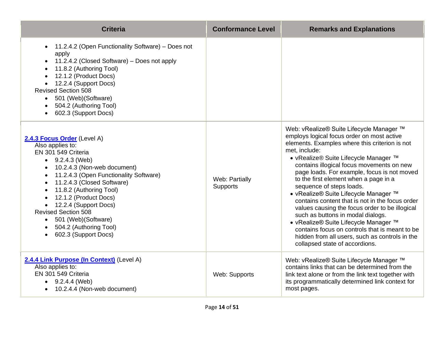| <b>Criteria</b>                                                                                                                                                                                                                                                                                                                                                                                           | <b>Conformance Level</b>   | <b>Remarks and Explanations</b>                                                                                                                                                                                                                                                                                                                                                                                                                                                                                                                                                                                                                                                                                                       |
|-----------------------------------------------------------------------------------------------------------------------------------------------------------------------------------------------------------------------------------------------------------------------------------------------------------------------------------------------------------------------------------------------------------|----------------------------|---------------------------------------------------------------------------------------------------------------------------------------------------------------------------------------------------------------------------------------------------------------------------------------------------------------------------------------------------------------------------------------------------------------------------------------------------------------------------------------------------------------------------------------------------------------------------------------------------------------------------------------------------------------------------------------------------------------------------------------|
| 11.2.4.2 (Open Functionality Software) - Does not<br>apply<br>11.2.4.2 (Closed Software) – Does not apply<br>$\bullet$<br>11.8.2 (Authoring Tool)<br>12.1.2 (Product Docs)<br>12.2.4 (Support Docs)<br><b>Revised Section 508</b><br>• 501 (Web) (Software)<br>504.2 (Authoring Tool)<br>602.3 (Support Docs)<br>$\bullet$                                                                                |                            |                                                                                                                                                                                                                                                                                                                                                                                                                                                                                                                                                                                                                                                                                                                                       |
| 2.4.3 Focus Order (Level A)<br>Also applies to:<br>EN 301 549 Criteria<br>$\bullet$ 9.2.4.3 (Web)<br>10.2.4.3 (Non-web document)<br>11.2.4.3 (Open Functionality Software)<br>11.2.4.3 (Closed Software)<br>11.8.2 (Authoring Tool)<br>12.1.2 (Product Docs)<br>12.2.4 (Support Docs)<br><b>Revised Section 508</b><br>501 (Web)(Software)<br>$\bullet$<br>504.2 (Authoring Tool)<br>602.3 (Support Docs) | Web: Partially<br>Supports | Web: vRealize® Suite Lifecycle Manager ™<br>employs logical focus order on most active<br>elements. Examples where this criterion is not<br>met, include:<br>• vRealize® Suite Lifecycle Manager ™<br>contains illogical focus movements on new<br>page loads. For example, focus is not moved<br>to the first element when a page in a<br>sequence of steps loads.<br>• vRealize® Suite Lifecycle Manager ™<br>contains content that is not in the focus order<br>values causing the focus order to be illogical<br>such as buttons in modal dialogs.<br>• vRealize® Suite Lifecycle Manager ™<br>contains focus on controls that is meant to be<br>hidden from all users, such as controls in the<br>collapsed state of accordions. |
| 2.4.4 Link Purpose (In Context) (Level A)<br>Also applies to:<br>EN 301 549 Criteria<br>$\bullet$ 9.2.4.4 (Web)<br>10.2.4.4 (Non-web document)                                                                                                                                                                                                                                                            | Web: Supports              | Web: vRealize® Suite Lifecycle Manager ™<br>contains links that can be determined from the<br>link text alone or from the link text together with<br>its programmatically determined link context for<br>most pages.                                                                                                                                                                                                                                                                                                                                                                                                                                                                                                                  |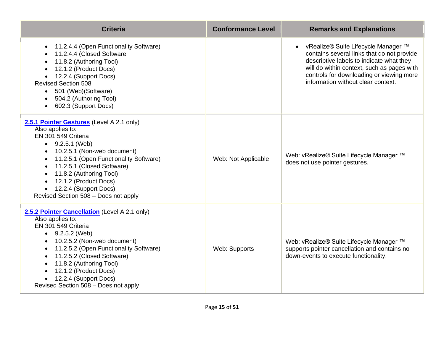| <b>Criteria</b>                                                                                                                                                                                                                                                                                                                                                                        | <b>Conformance Level</b> | <b>Remarks and Explanations</b>                                                                                                                                                                                                                                 |
|----------------------------------------------------------------------------------------------------------------------------------------------------------------------------------------------------------------------------------------------------------------------------------------------------------------------------------------------------------------------------------------|--------------------------|-----------------------------------------------------------------------------------------------------------------------------------------------------------------------------------------------------------------------------------------------------------------|
| 11.2.4.4 (Open Functionality Software)<br>11.2.4.4 (Closed Software<br>11.8.2 (Authoring Tool)<br>12.1.2 (Product Docs)<br>12.2.4 (Support Docs)<br>$\bullet$<br><b>Revised Section 508</b><br>501 (Web) (Software)<br>$\bullet$<br>504.2 (Authoring Tool)<br>602.3 (Support Docs)<br>$\bullet$                                                                                        |                          | • vRealize® Suite Lifecycle Manager ™<br>contains several links that do not provide<br>descriptive labels to indicate what they<br>will do within context, such as pages with<br>controls for downloading or viewing more<br>information without clear context. |
| 2.5.1 Pointer Gestures (Level A 2.1 only)<br>Also applies to:<br>EN 301 549 Criteria<br>$\bullet$ 9.2.5.1 (Web)<br>10.2.5.1 (Non-web document)<br>11.2.5.1 (Open Functionality Software)<br>11.2.5.1 (Closed Software)<br>11.8.2 (Authoring Tool)<br>12.1.2 (Product Docs)<br>12.2.4 (Support Docs)<br>Revised Section 508 - Does not apply                                            | Web: Not Applicable      | Web: vRealize® Suite Lifecycle Manager ™<br>does not use pointer gestures.                                                                                                                                                                                      |
| 2.5.2 Pointer Cancellation (Level A 2.1 only)<br>Also applies to:<br>EN 301 549 Criteria<br>$\bullet$ 9.2.5.2 (Web)<br>10.2.5.2 (Non-web document)<br>$\bullet$<br>11.2.5.2 (Open Functionality Software)<br>$\bullet$<br>11.2.5.2 (Closed Software)<br>$\bullet$<br>11.8.2 (Authoring Tool)<br>12.1.2 (Product Docs)<br>12.2.4 (Support Docs)<br>Revised Section 508 - Does not apply | Web: Supports            | Web: vRealize® Suite Lifecycle Manager ™<br>supports pointer cancellation and contains no<br>down-events to execute functionality.                                                                                                                              |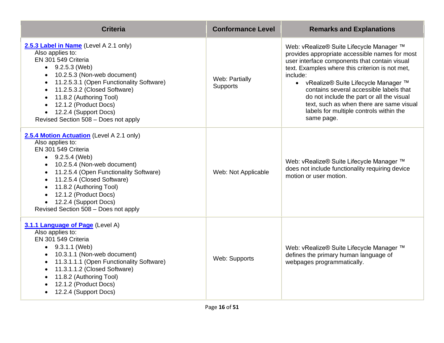| <b>Criteria</b>                                                                                                                                                                                                                                                                                                                                                                                  | <b>Conformance Level</b>   | <b>Remarks and Explanations</b>                                                                                                                                                                                                                                                                                                                                                                                                                  |
|--------------------------------------------------------------------------------------------------------------------------------------------------------------------------------------------------------------------------------------------------------------------------------------------------------------------------------------------------------------------------------------------------|----------------------------|--------------------------------------------------------------------------------------------------------------------------------------------------------------------------------------------------------------------------------------------------------------------------------------------------------------------------------------------------------------------------------------------------------------------------------------------------|
| 2.5.3 Label in Name (Level A 2.1 only)<br>Also applies to:<br>EN 301 549 Criteria<br>$\bullet$ 9.2.5.3 (Web)<br>10.2.5.3 (Non-web document)<br>$\bullet$<br>11.2.5.3.1 (Open Functionality Software)<br>$\bullet$<br>11.2.5.3.2 (Closed Software)<br>$\bullet$<br>11.8.2 (Authoring Tool)<br>$\bullet$<br>12.1.2 (Product Docs)<br>12.2.4 (Support Docs)<br>Revised Section 508 - Does not apply | Web: Partially<br>Supports | Web: vRealize® Suite Lifecycle Manager ™<br>provides appropriate accessible names for most<br>user interface components that contain visual<br>text. Examples where this criterion is not met,<br>include:<br>• vRealize® Suite Lifecycle Manager ™<br>contains several accessible labels that<br>do not include the part or all the visual<br>text, such as when there are same visual<br>labels for multiple controls within the<br>same page. |
| 2.5.4 Motion Actuation (Level A 2.1 only)<br>Also applies to:<br>EN 301 549 Criteria<br>$\bullet$ 9.2.5.4 (Web)<br>10.2.5.4 (Non-web document)<br>11.2.5.4 (Open Functionality Software)<br>11.2.5.4 (Closed Software)<br>11.8.2 (Authoring Tool)<br>12.1.2 (Product Docs)<br>• 12.2.4 (Support Docs)<br>Revised Section 508 - Does not apply                                                    | Web: Not Applicable        | Web: vRealize® Suite Lifecycle Manager ™<br>does not include functionality requiring device<br>motion or user motion.                                                                                                                                                                                                                                                                                                                            |
| 3.1.1 Language of Page (Level A)<br>Also applies to:<br>EN 301 549 Criteria<br>$\bullet$ 9.3.1.1 (Web)<br>10.3.1.1 (Non-web document)<br>11.3.1.1.1 (Open Functionality Software)<br>11.3.1.1.2 (Closed Software)<br>11.8.2 (Authoring Tool)<br>12.1.2 (Product Docs)<br>12.2.4 (Support Docs)                                                                                                   | Web: Supports              | Web: vRealize® Suite Lifecycle Manager ™<br>defines the primary human language of<br>webpages programmatically.                                                                                                                                                                                                                                                                                                                                  |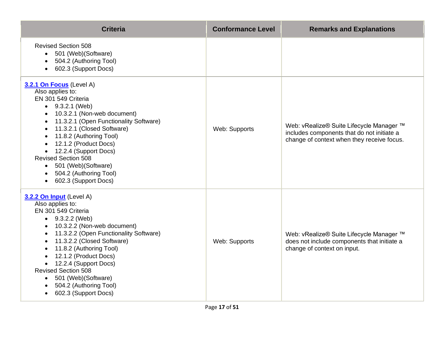| <b>Criteria</b>                                                                                                                                                                                                                                                                                                                                                                                                        | <b>Conformance Level</b> | <b>Remarks and Explanations</b>                                                                                                      |
|------------------------------------------------------------------------------------------------------------------------------------------------------------------------------------------------------------------------------------------------------------------------------------------------------------------------------------------------------------------------------------------------------------------------|--------------------------|--------------------------------------------------------------------------------------------------------------------------------------|
| <b>Revised Section 508</b><br>• 501 (Web) (Software)<br>504.2 (Authoring Tool)<br>602.3 (Support Docs)<br>$\bullet$                                                                                                                                                                                                                                                                                                    |                          |                                                                                                                                      |
| 3.2.1 On Focus (Level A)<br>Also applies to:<br>EN 301 549 Criteria<br>$\bullet$ 9.3.2.1 (Web)<br>10.3.2.1 (Non-web document)<br>11.3.2.1 (Open Functionality Software)<br>11.3.2.1 (Closed Software)<br>$\bullet$<br>11.8.2 (Authoring Tool)<br>12.1.2 (Product Docs)<br>• 12.2.4 (Support Docs)<br><b>Revised Section 508</b><br>501 (Web) (Software)<br>$\bullet$<br>504.2 (Authoring Tool)<br>602.3 (Support Docs) | Web: Supports            | Web: vRealize® Suite Lifecycle Manager ™<br>includes components that do not initiate a<br>change of context when they receive focus. |
| 3.2.2 On Input (Level A)<br>Also applies to:<br>EN 301 549 Criteria<br>• $9.3.2.2$ (Web)<br>10.3.2.2 (Non-web document)<br>11.3.2.2 (Open Functionality Software)<br>$\bullet$<br>11.3.2.2 (Closed Software)<br>$\bullet$<br>11.8.2 (Authoring Tool)<br>12.1.2 (Product Docs)<br>12.2.4 (Support Docs)<br><b>Revised Section 508</b><br>501 (Web) (Software)<br>504.2 (Authoring Tool)<br>602.3 (Support Docs)         | Web: Supports            | Web: vRealize® Suite Lifecycle Manager ™<br>does not include components that initiate a<br>change of context on input.               |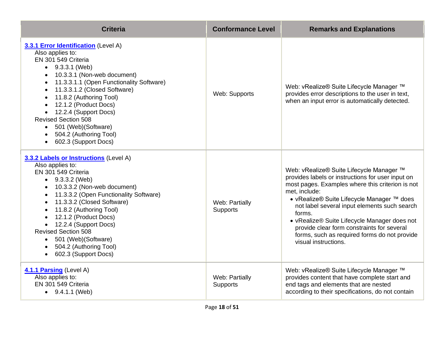| <b>Criteria</b>                                                                                                                                                                                                                                                                                                                                                                                                                                                | <b>Conformance Level</b>          | <b>Remarks and Explanations</b>                                                                                                                                                                                                                                                                                                                                                                                                                  |
|----------------------------------------------------------------------------------------------------------------------------------------------------------------------------------------------------------------------------------------------------------------------------------------------------------------------------------------------------------------------------------------------------------------------------------------------------------------|-----------------------------------|--------------------------------------------------------------------------------------------------------------------------------------------------------------------------------------------------------------------------------------------------------------------------------------------------------------------------------------------------------------------------------------------------------------------------------------------------|
| 3.3.1 Error Identification (Level A)<br>Also applies to:<br>EN 301 549 Criteria<br>$\bullet$ 9.3.3.1 (Web)<br>10.3.3.1 (Non-web document)<br>11.3.3.1.1 (Open Functionality Software)<br>11.3.3.1.2 (Closed Software)<br>$\bullet$<br>11.8.2 (Authoring Tool)<br>12.1.2 (Product Docs)<br>12.2.4 (Support Docs)<br><b>Revised Section 508</b><br>501 (Web) (Software)<br>$\bullet$<br>504.2 (Authoring Tool)<br>602.3 (Support Docs)<br>$\bullet$              | Web: Supports                     | Web: vRealize® Suite Lifecycle Manager ™<br>provides error descriptions to the user in text,<br>when an input error is automatically detected.                                                                                                                                                                                                                                                                                                   |
| 3.3.2 Labels or Instructions (Level A)<br>Also applies to:<br>EN 301 549 Criteria<br>$\bullet$ 9.3.3.2 (Web)<br>10.3.3.2 (Non-web document)<br>11.3.3.2 (Open Functionality Software)<br>$\bullet$<br>11.3.3.2 (Closed Software)<br>$\bullet$<br>11.8.2 (Authoring Tool)<br>12.1.2 (Product Docs)<br>• 12.2.4 (Support Docs)<br><b>Revised Section 508</b><br>501 (Web) (Software)<br>$\bullet$<br>504.2 (Authoring Tool)<br>602.3 (Support Docs)<br>$\bullet$ | Web: Partially<br><b>Supports</b> | Web: vRealize® Suite Lifecycle Manager ™<br>provides labels or instructions for user input on<br>most pages. Examples where this criterion is not<br>met, include:<br>• vRealize® Suite Lifecycle Manager ™ does<br>not label several input elements such search<br>forms.<br>• vRealize® Suite Lifecycle Manager does not<br>provide clear form constraints for several<br>forms, such as required forms do not provide<br>visual instructions. |
| 4.1.1 Parsing (Level A)<br>Also applies to:<br>EN 301 549 Criteria<br>$\bullet$ 9.4.1.1 (Web)                                                                                                                                                                                                                                                                                                                                                                  | Web: Partially<br><b>Supports</b> | Web: vRealize® Suite Lifecycle Manager ™<br>provides content that have complete start and<br>end tags and elements that are nested<br>according to their specifications, do not contain                                                                                                                                                                                                                                                          |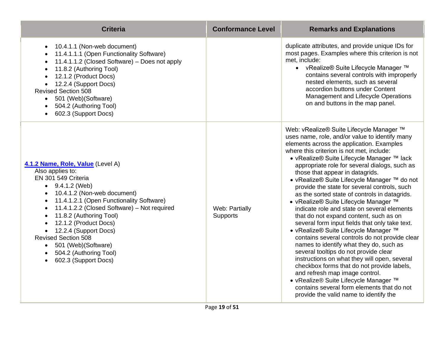| <b>Criteria</b>                                                                                                                                                                                                                                                                                                                                                                                                                                               | <b>Conformance Level</b>   | <b>Remarks and Explanations</b>                                                                                                                                                                                                                                                                                                                                                                                                                                                                                                                                                                                                                                                                                                                                                                                                                                                                                                                                                                                                                                                                             |
|---------------------------------------------------------------------------------------------------------------------------------------------------------------------------------------------------------------------------------------------------------------------------------------------------------------------------------------------------------------------------------------------------------------------------------------------------------------|----------------------------|-------------------------------------------------------------------------------------------------------------------------------------------------------------------------------------------------------------------------------------------------------------------------------------------------------------------------------------------------------------------------------------------------------------------------------------------------------------------------------------------------------------------------------------------------------------------------------------------------------------------------------------------------------------------------------------------------------------------------------------------------------------------------------------------------------------------------------------------------------------------------------------------------------------------------------------------------------------------------------------------------------------------------------------------------------------------------------------------------------------|
| 10.4.1.1 (Non-web document)<br>11.4.1.1.1 (Open Functionality Software)<br>11.4.1.1.2 (Closed Software) - Does not apply<br>11.8.2 (Authoring Tool)<br>12.1.2 (Product Docs)<br>12.2.4 (Support Docs)<br><b>Revised Section 508</b><br>501 (Web)(Software)<br>504.2 (Authoring Tool)<br>602.3 (Support Docs)                                                                                                                                                  |                            | duplicate attributes, and provide unique IDs for<br>most pages. Examples where this criterion is not<br>met, include:<br>• vRealize® Suite Lifecycle Manager ™<br>contains several controls with improperly<br>nested elements, such as several<br>accordion buttons under Content<br>Management and Lifecycle Operations<br>on and buttons in the map panel.                                                                                                                                                                                                                                                                                                                                                                                                                                                                                                                                                                                                                                                                                                                                               |
| 4.1.2 Name, Role, Value (Level A)<br>Also applies to:<br>EN 301 549 Criteria<br>$\bullet$ 9.4.1.2 (Web)<br>10.4.1.2 (Non-web document)<br>11.4.1.2.1 (Open Functionality Software)<br>11.4.1.2.2 (Closed Software) - Not required<br>11.8.2 (Authoring Tool)<br>12.1.2 (Product Docs)<br>$\bullet$<br>12.2.4 (Support Docs)<br>$\bullet$<br><b>Revised Section 508</b><br>501 (Web) (Software)<br>$\bullet$<br>504.2 (Authoring Tool)<br>602.3 (Support Docs) | Web: Partially<br>Supports | Web: vRealize® Suite Lifecycle Manager ™<br>uses name, role, and/or value to identify many<br>elements across the application. Examples<br>where this criterion is not met, include:<br>• vRealize® Suite Lifecycle Manager ™ lack<br>appropriate role for several dialogs, such as<br>those that appear in datagrids.<br>• vRealize® Suite Lifecycle Manager ™ do not<br>provide the state for several controls, such<br>as the sorted state of controls in datagrids.<br>• vRealize® Suite Lifecycle Manager ™<br>indicate role and state on several elements<br>that do not expand content, such as on<br>several form input fields that only take text.<br>• vRealize® Suite Lifecycle Manager ™<br>contains several controls do not provide clear<br>names to identify what they do, such as<br>several tooltips do not provide clear<br>instructions on what they will open, several<br>checkbox forms that do not provide labels,<br>and refresh map image control.<br>• vRealize® Suite Lifecycle Manager ™<br>contains several form elements that do not<br>provide the valid name to identify the |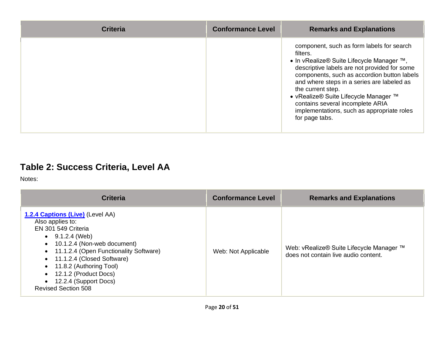| <b>Criteria</b> | <b>Conformance Level</b> | <b>Remarks and Explanations</b>                                                                                                                                                                                                                                                                                                                                                                                   |
|-----------------|--------------------------|-------------------------------------------------------------------------------------------------------------------------------------------------------------------------------------------------------------------------------------------------------------------------------------------------------------------------------------------------------------------------------------------------------------------|
|                 |                          | component, such as form labels for search<br>filters.<br>• In vRealize® Suite Lifecycle Manager ™,<br>descriptive labels are not provided for some<br>components, such as accordion button labels<br>and where steps in a series are labeled as<br>the current step.<br>• vRealize® Suite Lifecycle Manager ™<br>contains several incomplete ARIA<br>implementations, such as appropriate roles<br>for page tabs. |

### **Table 2: Success Criteria, Level AA**

Notes:

| <b>Criteria</b>                                                                                                                                                                                                                                                                                                                   | <b>Conformance Level</b> | <b>Remarks and Explanations</b>                                                  |
|-----------------------------------------------------------------------------------------------------------------------------------------------------------------------------------------------------------------------------------------------------------------------------------------------------------------------------------|--------------------------|----------------------------------------------------------------------------------|
| <b>1.2.4 Captions (Live)</b> (Level AA)<br>Also applies to:<br>EN 301 549 Criteria<br>$\bullet$ 9.1.2.4 (Web)<br>10.1.2.4 (Non-web document)<br>11.1.2.4 (Open Functionality Software)<br>• 11.1.2.4 (Closed Software)<br>11.8.2 (Authoring Tool)<br>12.1.2 (Product Docs)<br>12.2.4 (Support Docs)<br><b>Revised Section 508</b> | Web: Not Applicable      | Web: vRealize® Suite Lifecycle Manager ™<br>does not contain live audio content. |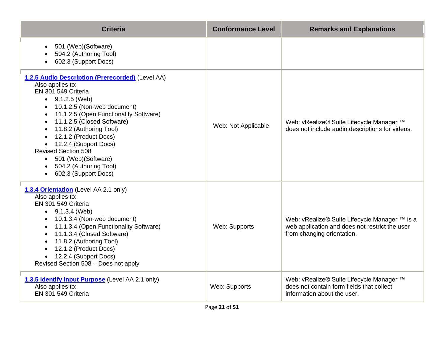| <b>Criteria</b>                                                                                                                                                                                                                                                                                                                                                                                                      | <b>Conformance Level</b> | <b>Remarks and Explanations</b>                                                                                               |
|----------------------------------------------------------------------------------------------------------------------------------------------------------------------------------------------------------------------------------------------------------------------------------------------------------------------------------------------------------------------------------------------------------------------|--------------------------|-------------------------------------------------------------------------------------------------------------------------------|
| 501 (Web) (Software)<br>504.2 (Authoring Tool)<br>602.3 (Support Docs)                                                                                                                                                                                                                                                                                                                                               |                          |                                                                                                                               |
| 1.2.5 Audio Description (Prerecorded) (Level AA)<br>Also applies to:<br>EN 301 549 Criteria<br>$\bullet$ 9.1.2.5 (Web)<br>10.1.2.5 (Non-web document)<br>11.1.2.5 (Open Functionality Software)<br>11.1.2.5 (Closed Software)<br>11.8.2 (Authoring Tool)<br>12.1.2 (Product Docs)<br>12.2.4 (Support Docs)<br><b>Revised Section 508</b><br>• 501 (Web) (Software)<br>504.2 (Authoring Tool)<br>602.3 (Support Docs) | Web: Not Applicable      | Web: vRealize® Suite Lifecycle Manager ™<br>does not include audio descriptions for videos.                                   |
| 1.3.4 Orientation (Level AA 2.1 only)<br>Also applies to:<br>EN 301 549 Criteria<br>$\bullet$ 9.1.3.4 (Web)<br>• 10.1.3.4 (Non-web document)<br>11.1.3.4 (Open Functionality Software)<br>11.1.3.4 (Closed Software)<br>11.8.2 (Authoring Tool)<br>12.1.2 (Product Docs)<br>• 12.2.4 (Support Docs)<br>Revised Section 508 - Does not apply                                                                          | Web: Supports            | Web: vRealize® Suite Lifecycle Manager ™ is a<br>web application and does not restrict the user<br>from changing orientation. |
| 1.3.5 Identify Input Purpose (Level AA 2.1 only)<br>Also applies to:<br>EN 301 549 Criteria                                                                                                                                                                                                                                                                                                                          | Web: Supports            | Web: vRealize® Suite Lifecycle Manager ™<br>does not contain form fields that collect<br>information about the user.          |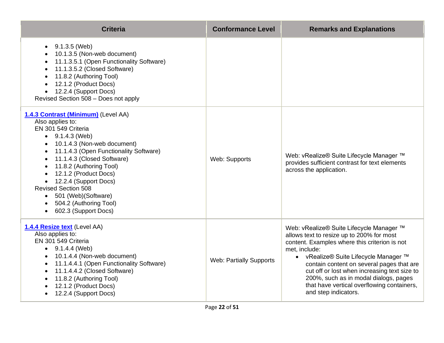| <b>Criteria</b>                                                                                                                                                                                                                                                                                                                                                                                                                                                                     | <b>Conformance Level</b>       | <b>Remarks and Explanations</b>                                                                                                                                                                                                                                                                                                                                                                              |
|-------------------------------------------------------------------------------------------------------------------------------------------------------------------------------------------------------------------------------------------------------------------------------------------------------------------------------------------------------------------------------------------------------------------------------------------------------------------------------------|--------------------------------|--------------------------------------------------------------------------------------------------------------------------------------------------------------------------------------------------------------------------------------------------------------------------------------------------------------------------------------------------------------------------------------------------------------|
| 9.1.3.5 (Web)<br>$\bullet$<br>10.1.3.5 (Non-web document)<br>11.1.3.5.1 (Open Functionality Software)<br>$\bullet$<br>11.1.3.5.2 (Closed Software)<br>$\bullet$<br>11.8.2 (Authoring Tool)<br>$\bullet$<br>12.1.2 (Product Docs)<br>12.2.4 (Support Docs)<br>Revised Section 508 - Does not apply                                                                                                                                                                                   |                                |                                                                                                                                                                                                                                                                                                                                                                                                              |
| 1.4.3 Contrast (Minimum) (Level AA)<br>Also applies to:<br>EN 301 549 Criteria<br>$\bullet$ 9.1.4.3 (Web)<br>10.1.4.3 (Non-web document)<br>$\bullet$<br>11.1.4.3 (Open Functionality Software)<br>$\bullet$<br>11.1.4.3 (Closed Software)<br>$\bullet$<br>11.8.2 (Authoring Tool)<br>12.1.2 (Product Docs)<br>12.2.4 (Support Docs)<br>$\bullet$<br><b>Revised Section 508</b><br>501 (Web) (Software)<br>$\bullet$<br>504.2 (Authoring Tool)<br>602.3 (Support Docs)<br>$\bullet$ | Web: Supports                  | Web: vRealize® Suite Lifecycle Manager ™<br>provides sufficient contrast for text elements<br>across the application.                                                                                                                                                                                                                                                                                        |
| 1.4.4 Resize text (Level AA)<br>Also applies to:<br>EN 301 549 Criteria<br>$\bullet$ 9.1.4.4 (Web)<br>10.1.4.4 (Non-web document)<br>$\bullet$<br>11.1.4.4.1 (Open Functionality Software)<br>$\bullet$<br>11.1.4.4.2 (Closed Software)<br>$\bullet$<br>11.8.2 (Authoring Tool)<br>12.1.2 (Product Docs)<br>12.2.4 (Support Docs)<br>$\bullet$                                                                                                                                      | <b>Web: Partially Supports</b> | Web: vRealize® Suite Lifecycle Manager ™<br>allows text to resize up to 200% for most<br>content. Examples where this criterion is not<br>met, include:<br>• vRealize® Suite Lifecycle Manager ™<br>contain content on several pages that are<br>cut off or lost when increasing text size to<br>200%, such as in modal dialogs, pages<br>that have vertical overflowing containers,<br>and step indicators. |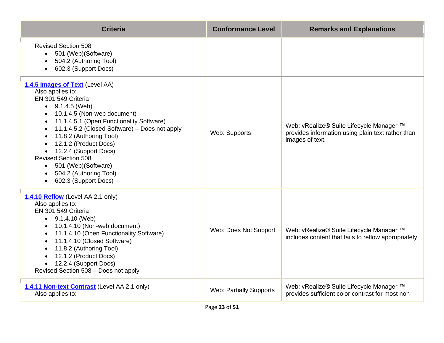| <b>Criteria</b>                                                                                                                                                                                                                                                                                                                                                                                                                | <b>Conformance Level</b>       | <b>Remarks and Explanations</b>                                                                                  |
|--------------------------------------------------------------------------------------------------------------------------------------------------------------------------------------------------------------------------------------------------------------------------------------------------------------------------------------------------------------------------------------------------------------------------------|--------------------------------|------------------------------------------------------------------------------------------------------------------|
| <b>Revised Section 508</b><br>501 (Web)(Software)<br>504.2 (Authoring Tool)<br>602.3 (Support Docs)<br>$\bullet$                                                                                                                                                                                                                                                                                                               |                                |                                                                                                                  |
| 1.4.5 Images of Text (Level AA)<br>Also applies to:<br>EN 301 549 Criteria<br>$\bullet$ 9.1.4.5 (Web)<br>10.1.4.5 (Non-web document)<br>11.1.4.5.1 (Open Functionality Software)<br>11.1.4.5.2 (Closed Software) - Does not apply<br>11.8.2 (Authoring Tool)<br>12.1.2 (Product Docs)<br>• 12.2.4 (Support Docs)<br><b>Revised Section 508</b><br>• 501 (Web) (Software)<br>• 504.2 (Authoring Tool)<br>• 602.3 (Support Docs) | Web: Supports                  | Web: vRealize® Suite Lifecycle Manager ™<br>provides information using plain text rather than<br>images of text. |
| 1.4.10 Reflow (Level AA 2.1 only)<br>Also applies to:<br>EN 301 549 Criteria<br>$\bullet$ 9.1.4.10 (Web)<br>10.1.4.10 (Non-web document)<br>11.1.4.10 (Open Functionality Software)<br>$\bullet$<br>11.1.4.10 (Closed Software)<br>$\bullet$<br>11.8.2 (Authoring Tool)<br>$\bullet$<br>12.1.2 (Product Docs)<br>$\bullet$<br>• 12.2.4 (Support Docs)<br>Revised Section 508 - Does not apply                                  | Web: Does Not Support          | Web: vRealize® Suite Lifecycle Manager ™<br>includes content that fails to reflow appropriately.                 |
| 1.4.11 Non-text Contrast (Level AA 2.1 only)<br>Also applies to:                                                                                                                                                                                                                                                                                                                                                               | <b>Web: Partially Supports</b> | Web: vRealize® Suite Lifecycle Manager ™<br>provides sufficient color contrast for most non-                     |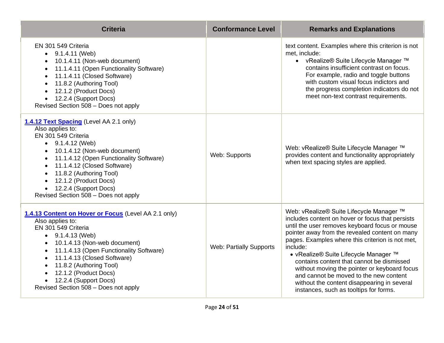| <b>Criteria</b>                                                                                                                                                                                                                                                                                                                                                                                   | <b>Conformance Level</b>       | <b>Remarks and Explanations</b>                                                                                                                                                                                                                                                                                                                                                                                                                                                                                                           |
|---------------------------------------------------------------------------------------------------------------------------------------------------------------------------------------------------------------------------------------------------------------------------------------------------------------------------------------------------------------------------------------------------|--------------------------------|-------------------------------------------------------------------------------------------------------------------------------------------------------------------------------------------------------------------------------------------------------------------------------------------------------------------------------------------------------------------------------------------------------------------------------------------------------------------------------------------------------------------------------------------|
| EN 301 549 Criteria<br>$\bullet$ 9.1.4.11 (Web)<br>10.1.4.11 (Non-web document)<br>11.1.4.11 (Open Functionality Software)<br>11.1.4.11 (Closed Software)<br>$\bullet$<br>11.8.2 (Authoring Tool)<br>$\bullet$<br>12.1.2 (Product Docs)<br>12.2.4 (Support Docs)<br>Revised Section 508 - Does not apply                                                                                          |                                | text content. Examples where this criterion is not<br>met, include:<br>• vRealize® Suite Lifecycle Manager ™<br>contains insufficient contrast on focus.<br>For example, radio and toggle buttons<br>with custom visual focus indictors and<br>the progress completion indicators do not<br>meet non-text contrast requirements.                                                                                                                                                                                                          |
| 1.4.12 Text Spacing (Level AA 2.1 only)<br>Also applies to:<br>EN 301 549 Criteria<br>$\bullet$ 9.1.4.12 (Web)<br>10.1.4.12 (Non-web document)<br>11.1.4.12 (Open Functionality Software)<br>11.1.4.12 (Closed Software)<br>11.8.2 (Authoring Tool)<br>12.1.2 (Product Docs)<br>12.2.4 (Support Docs)<br>$\bullet$<br>Revised Section 508 - Does not apply                                        | Web: Supports                  | Web: vRealize® Suite Lifecycle Manager ™<br>provides content and functionality appropriately<br>when text spacing styles are applied.                                                                                                                                                                                                                                                                                                                                                                                                     |
| 1.4.13 Content on Hover or Focus (Level AA 2.1 only)<br>Also applies to:<br>EN 301 549 Criteria<br>$\bullet$ 9.1.4.13 (Web)<br>10.1.4.13 (Non-web document)<br>11.1.4.13 (Open Functionality Software)<br>$\bullet$<br>11.1.4.13 (Closed Software)<br>$\bullet$<br>11.8.2 (Authoring Tool)<br>$\bullet$<br>12.1.2 (Product Docs)<br>12.2.4 (Support Docs)<br>Revised Section 508 - Does not apply | <b>Web: Partially Supports</b> | Web: vRealize® Suite Lifecycle Manager ™<br>includes content on hover or focus that persists<br>until the user removes keyboard focus or mouse<br>pointer away from the revealed content on many<br>pages. Examples where this criterion is not met,<br>include:<br>• vRealize® Suite Lifecycle Manager ™<br>contains content that cannot be dismissed<br>without moving the pointer or keyboard focus<br>and cannot be moved to the new content<br>without the content disappearing in several<br>instances, such as tooltips for forms. |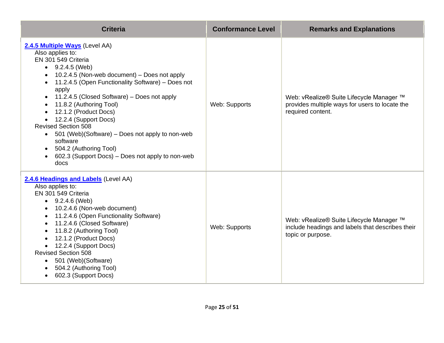| <b>Criteria</b>                                                                                                                                                                                                                                                                                                                                                                                                                                                                                                                                  | <b>Conformance Level</b> | <b>Remarks and Explanations</b>                                                                                   |
|--------------------------------------------------------------------------------------------------------------------------------------------------------------------------------------------------------------------------------------------------------------------------------------------------------------------------------------------------------------------------------------------------------------------------------------------------------------------------------------------------------------------------------------------------|--------------------------|-------------------------------------------------------------------------------------------------------------------|
| 2.4.5 Multiple Ways (Level AA)<br>Also applies to:<br>EN 301 549 Criteria<br>$\bullet$ 9.2.4.5 (Web)<br>10.2.4.5 (Non-web document) – Does not apply<br>11.2.4.5 (Open Functionality Software) - Does not<br>apply<br>11.2.4.5 (Closed Software) – Does not apply<br>$\bullet$<br>11.8.2 (Authoring Tool)<br>12.1.2 (Product Docs)<br>12.2.4 (Support Docs)<br><b>Revised Section 508</b><br>• 501 (Web)(Software) – Does not apply to non-web<br>software<br>504.2 (Authoring Tool)<br>602.3 (Support Docs) – Does not apply to non-web<br>docs | Web: Supports            | Web: vRealize® Suite Lifecycle Manager ™<br>provides multiple ways for users to locate the<br>required content.   |
| 2.4.6 Headings and Labels (Level AA)<br>Also applies to:<br>EN 301 549 Criteria<br>$\bullet$ 9.2.4.6 (Web)<br>10.2.4.6 (Non-web document)<br>$\bullet$<br>11.2.4.6 (Open Functionality Software)<br>11.2.4.6 (Closed Software)<br>11.8.2 (Authoring Tool)<br>12.1.2 (Product Docs)<br>12.2.4 (Support Docs)<br><b>Revised Section 508</b><br>501 (Web) (Software)<br>504.2 (Authoring Tool)<br>602.3 (Support Docs)<br>$\bullet$                                                                                                                 | Web: Supports            | Web: vRealize® Suite Lifecycle Manager ™<br>include headings and labels that describes their<br>topic or purpose. |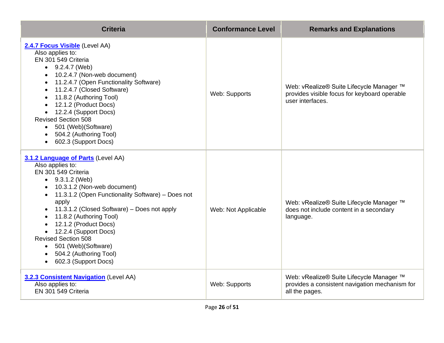| <b>Criteria</b>                                                                                                                                                                                                                                                                                                                                                                                                                                                             | <b>Conformance Level</b> | <b>Remarks and Explanations</b>                                                                              |
|-----------------------------------------------------------------------------------------------------------------------------------------------------------------------------------------------------------------------------------------------------------------------------------------------------------------------------------------------------------------------------------------------------------------------------------------------------------------------------|--------------------------|--------------------------------------------------------------------------------------------------------------|
| 2.4.7 Focus Visible (Level AA)<br>Also applies to:<br>EN 301 549 Criteria<br>$\bullet$ 9.2.4.7 (Web)<br>10.2.4.7 (Non-web document)<br>11.2.4.7 (Open Functionality Software)<br>11.2.4.7 (Closed Software)<br>11.8.2 (Authoring Tool)<br>12.1.2 (Product Docs)<br>• 12.2.4 (Support Docs)<br><b>Revised Section 508</b><br>501 (Web) (Software)<br>$\bullet$<br>504.2 (Authoring Tool)<br>602.3 (Support Docs)<br>$\bullet$                                                | Web: Supports            | Web: vRealize® Suite Lifecycle Manager ™<br>provides visible focus for keyboard operable<br>user interfaces. |
| 3.1.2 Language of Parts (Level AA)<br>Also applies to:<br>EN 301 549 Criteria<br>$\bullet$ 9.3.1.2 (Web)<br>• 10.3.1.2 (Non-web document)<br>• 11.3.1.2 (Open Functionality Software) - Does not<br>apply<br>• 11.3.1.2 (Closed Software) – Does not apply<br>11.8.2 (Authoring Tool)<br>12.1.2 (Product Docs)<br>• 12.2.4 (Support Docs)<br><b>Revised Section 508</b><br>501 (Web) (Software)<br>$\bullet$<br>504.2 (Authoring Tool)<br>602.3 (Support Docs)<br>$\bullet$ | Web: Not Applicable      | Web: vRealize® Suite Lifecycle Manager ™<br>does not include content in a secondary<br>language.             |
| 3.2.3 Consistent Navigation (Level AA)<br>Also applies to:<br>EN 301 549 Criteria                                                                                                                                                                                                                                                                                                                                                                                           | Web: Supports            | Web: vRealize® Suite Lifecycle Manager ™<br>provides a consistent navigation mechanism for<br>all the pages. |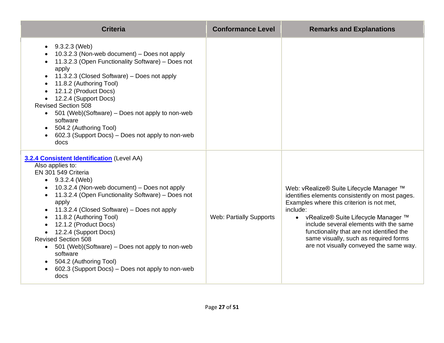| <b>Criteria</b>                                                                                                                                                                                                                                                                                                                                                                                                                                                                                                                                                                | <b>Conformance Level</b>       | <b>Remarks and Explanations</b>                                                                                                                                                                                                                                                                                                                                          |
|--------------------------------------------------------------------------------------------------------------------------------------------------------------------------------------------------------------------------------------------------------------------------------------------------------------------------------------------------------------------------------------------------------------------------------------------------------------------------------------------------------------------------------------------------------------------------------|--------------------------------|--------------------------------------------------------------------------------------------------------------------------------------------------------------------------------------------------------------------------------------------------------------------------------------------------------------------------------------------------------------------------|
| $\bullet$ 9.3.2.3 (Web)<br>10.3.2.3 (Non-web document) - Does not apply<br>11.3.2.3 (Open Functionality Software) - Does not<br>apply<br>11.3.2.3 (Closed Software) – Does not apply<br>11.8.2 (Authoring Tool)<br>$\bullet$<br>12.1.2 (Product Docs)<br>12.2.4 (Support Docs)<br><b>Revised Section 508</b><br>501 (Web)(Software) – Does not apply to non-web<br>$\bullet$<br>software<br>504.2 (Authoring Tool)<br>$\bullet$<br>602.3 (Support Docs) – Does not apply to non-web<br>docs                                                                                    |                                |                                                                                                                                                                                                                                                                                                                                                                          |
| <b>3.2.4 Consistent Identification</b> (Level AA)<br>Also applies to:<br>EN 301 549 Criteria<br>$\bullet$ 9.3.2.4 (Web)<br>10.3.2.4 (Non-web document) - Does not apply<br>11.3.2.4 (Open Functionality Software) - Does not<br>apply<br>11.3.2.4 (Closed Software) – Does not apply<br>11.8.2 (Authoring Tool)<br>$\bullet$<br>12.1.2 (Product Docs)<br>12.2.4 (Support Docs)<br><b>Revised Section 508</b><br>501 (Web)(Software) - Does not apply to non-web<br>$\bullet$<br>software<br>504.2 (Authoring Tool)<br>602.3 (Support Docs) – Does not apply to non-web<br>docs | <b>Web: Partially Supports</b> | Web: vRealize® Suite Lifecycle Manager ™<br>identifies elements consistently on most pages.<br>Examples where this criterion is not met,<br>include:<br>• vRealize® Suite Lifecycle Manager ™<br>include several elements with the same<br>functionality that are not identified the<br>same visually, such as required forms<br>are not visually conveyed the same way. |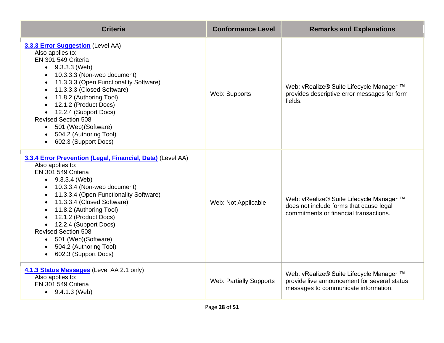| <b>Criteria</b>                                                                                                                                                                                                                                                                                                                                                                                                                               | <b>Conformance Level</b>       | <b>Remarks and Explanations</b>                                                                                                  |
|-----------------------------------------------------------------------------------------------------------------------------------------------------------------------------------------------------------------------------------------------------------------------------------------------------------------------------------------------------------------------------------------------------------------------------------------------|--------------------------------|----------------------------------------------------------------------------------------------------------------------------------|
| 3.3.3 Error Suggestion (Level AA)<br>Also applies to:<br>EN 301 549 Criteria<br>$\bullet$ 9.3.3.3 (Web)<br>10.3.3.3 (Non-web document)<br>11.3.3.3 (Open Functionality Software)<br>11.3.3.3 (Closed Software)<br>11.8.2 (Authoring Tool)<br>12.1.2 (Product Docs)<br>• 12.2.4 (Support Docs)<br><b>Revised Section 508</b><br>• 501 (Web) (Software)<br>• 504.2 (Authoring Tool)<br>• 602.3 (Support Docs)                                   | Web: Supports                  | Web: vRealize® Suite Lifecycle Manager ™<br>provides descriptive error messages for form<br>fields.                              |
| 3.3.4 Error Prevention (Legal, Financial, Data) (Level AA)<br>Also applies to:<br>EN 301 549 Criteria<br>$\bullet$ 9.3.3.4 (Web)<br>10.3.3.4 (Non-web document)<br>11.3.3.4 (Open Functionality Software)<br>11.3.3.4 (Closed Software)<br>11.8.2 (Authoring Tool)<br>12.1.2 (Product Docs)<br>• 12.2.4 (Support Docs)<br><b>Revised Section 508</b><br>• 501 (Web) (Software)<br>504.2 (Authoring Tool)<br>602.3 (Support Docs)<br>$\bullet$ | Web: Not Applicable            | Web: vRealize® Suite Lifecycle Manager ™<br>does not include forms that cause legal<br>commitments or financial transactions.    |
| 4.1.3 Status Messages (Level AA 2.1 only)<br>Also applies to:<br>EN 301 549 Criteria<br>$\bullet$ 9.4.1.3 (Web)                                                                                                                                                                                                                                                                                                                               | <b>Web: Partially Supports</b> | Web: vRealize® Suite Lifecycle Manager ™<br>provide live announcement for several status<br>messages to communicate information. |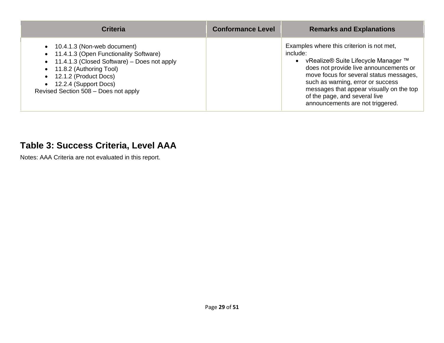| <b>Criteria</b>                                                                                                                                                                                                                                               | <b>Conformance Level</b> | <b>Remarks and Explanations</b>                                                                                                                                                                                                                                                                                                           |
|---------------------------------------------------------------------------------------------------------------------------------------------------------------------------------------------------------------------------------------------------------------|--------------------------|-------------------------------------------------------------------------------------------------------------------------------------------------------------------------------------------------------------------------------------------------------------------------------------------------------------------------------------------|
| • 10.4.1.3 (Non-web document)<br>• 11.4.1.3 (Open Functionality Software)<br>• 11.4.1.3 (Closed Software) – Does not apply<br>• 11.8.2 (Authoring Tool)<br>$\bullet$ 12.1.2 (Product Docs)<br>• 12.2.4 (Support Docs)<br>Revised Section 508 - Does not apply |                          | Examples where this criterion is not met,<br>include:<br>• vRealize® Suite Lifecycle Manager ™<br>does not provide live announcements or<br>move focus for several status messages,<br>such as warning, error or success<br>messages that appear visually on the top<br>of the page, and several live<br>announcements are not triggered. |

#### **Table 3: Success Criteria, Level AAA**

Notes: AAA Criteria are not evaluated in this report.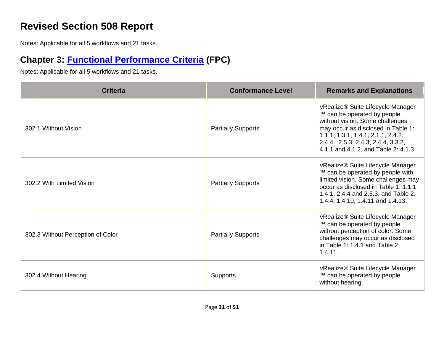# **Revised Section 508 Report**

Notes: Applicable for all 5 workflows and 21 tasks.

# **Chapter 3: [Functional Performance Criteria](https://www.access-board.gov/guidelines-and-standards/communications-and-it/about-the-ict-refresh/final-rule/text-of-the-standards-and-guidelines#302-functional-performance-criteria) (FPC)**

| <b>Criteria</b>                   | <b>Conformance Level</b>  | <b>Remarks and Explanations</b>                                                                                                                                                                                                                                |
|-----------------------------------|---------------------------|----------------------------------------------------------------------------------------------------------------------------------------------------------------------------------------------------------------------------------------------------------------|
| 302.1 Without Vision              | <b>Partially Supports</b> | vRealize® Suite Lifecycle Manager<br>™ can be operated by people<br>without vision. Some challenges<br>may occur as disclosed in Table 1:<br>1.1.1, 1.3.1, 1.4.1, 2.1.1, 2.4.2,<br>2.4.4., 2.5.3, 2.4.3, 2.4.4, 3.3.2,<br>4.1.1 and 4.1.2, and Table 2: 4.1.3. |
| 302.2 With Limited Vision         | <b>Partially Supports</b> | vRealize® Suite Lifecycle Manager<br>™ can be operated by people with<br>limited vision. Some challenges may<br>occur as disclosed in Table 1: 1.1.1<br>1.4.1, 2.4.4 and 2.5.3, and Table 2:<br>1.4.4, 1.4.10, 1.4.11 and 1.4.13.                              |
| 302.3 Without Perception of Color | <b>Partially Supports</b> | vRealize® Suite Lifecycle Manager<br>™ can be operated by people<br>without perception of color. Some<br>challenges may occur as disclosed<br>in Table 1: $1.4.1$ and Table 2:<br>1.4.11.                                                                      |
| 302.4 Without Hearing             | <b>Supports</b>           | vRealize® Suite Lifecycle Manager<br>™ can be operated by people<br>without hearing.                                                                                                                                                                           |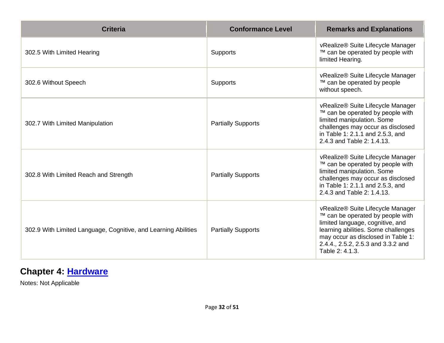| <b>Criteria</b>                                                | <b>Conformance Level</b>  | <b>Remarks and Explanations</b>                                                                                                                                                                                                                 |
|----------------------------------------------------------------|---------------------------|-------------------------------------------------------------------------------------------------------------------------------------------------------------------------------------------------------------------------------------------------|
| 302.5 With Limited Hearing                                     | <b>Supports</b>           | vRealize® Suite Lifecycle Manager<br>™ can be operated by people with<br>limited Hearing.                                                                                                                                                       |
| 302.6 Without Speech                                           | <b>Supports</b>           | vRealize® Suite Lifecycle Manager<br>™ can be operated by people<br>without speech.                                                                                                                                                             |
| 302.7 With Limited Manipulation                                | <b>Partially Supports</b> | vRealize® Suite Lifecycle Manager<br>™ can be operated by people with<br>limited manipulation. Some<br>challenges may occur as disclosed<br>in Table 1: 2.1.1 and 2.5.3, and<br>2.4.3 and Table 2: 1.4.13.                                      |
| 302.8 With Limited Reach and Strength                          | <b>Partially Supports</b> | vRealize® Suite Lifecycle Manager<br>™ can be operated by people with<br>limited manipulation. Some<br>challenges may occur as disclosed<br>in Table 1: 2.1.1 and 2.5.3, and<br>2.4.3 and Table 2: 1.4.13.                                      |
| 302.9 With Limited Language, Cognitive, and Learning Abilities | <b>Partially Supports</b> | vRealize® Suite Lifecycle Manager<br>™ can be operated by people with<br>limited language, cognitive, and<br>learning abilities. Some challenges<br>may occur as disclosed in Table 1:<br>2.4.4., 2.5.2, 2.5.3 and 3.3.2 and<br>Table 2: 4.1.3. |

# **Chapter 4: [Hardware](https://www.access-board.gov/guidelines-and-standards/communications-and-it/about-the-ict-refresh/final-rule/text-of-the-standards-and-guidelines#401-general)**

Notes: Not Applicable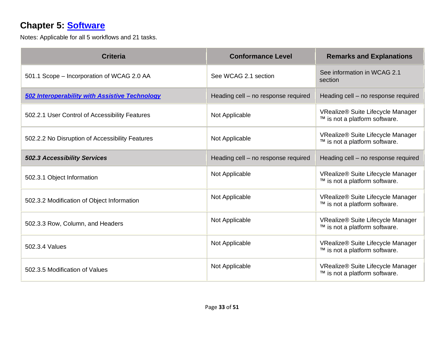# **Chapter 5: [Software](https://www.access-board.gov/guidelines-and-standards/communications-and-it/about-the-ict-refresh/final-rule/text-of-the-standards-and-guidelines#501-general)**

| <b>Criteria</b>                                       | <b>Conformance Level</b>            | <b>Remarks and Explanations</b>                                    |
|-------------------------------------------------------|-------------------------------------|--------------------------------------------------------------------|
| 501.1 Scope - Incorporation of WCAG 2.0 AA            | See WCAG 2.1 section                | See information in WCAG 2.1<br>section                             |
| <b>502 Interoperability with Assistive Technology</b> | Heading cell - no response required | Heading cell - no response required                                |
| 502.2.1 User Control of Accessibility Features        | Not Applicable                      | VRealize® Suite Lifecycle Manager<br>™ is not a platform software. |
| 502.2.2 No Disruption of Accessibility Features       | Not Applicable                      | VRealize® Suite Lifecycle Manager<br>™ is not a platform software. |
| <b>502.3 Accessibility Services</b>                   | Heading cell - no response required | Heading cell - no response required                                |
| 502.3.1 Object Information                            | Not Applicable                      | VRealize® Suite Lifecycle Manager<br>™ is not a platform software. |
| 502.3.2 Modification of Object Information            | Not Applicable                      | VRealize® Suite Lifecycle Manager<br>™ is not a platform software. |
| 502.3.3 Row, Column, and Headers                      | Not Applicable                      | VRealize® Suite Lifecycle Manager<br>™ is not a platform software. |
| 502.3.4 Values                                        | Not Applicable                      | VRealize® Suite Lifecycle Manager<br>™ is not a platform software. |
| 502.3.5 Modification of Values                        | Not Applicable                      | VRealize® Suite Lifecycle Manager<br>™ is not a platform software. |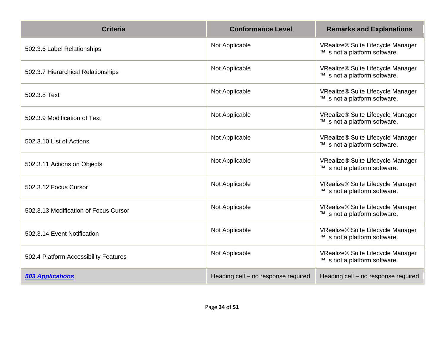| <b>Criteria</b>                       | <b>Conformance Level</b>            | <b>Remarks and Explanations</b>                                    |
|---------------------------------------|-------------------------------------|--------------------------------------------------------------------|
| 502.3.6 Label Relationships           | Not Applicable                      | VRealize® Suite Lifecycle Manager<br>™ is not a platform software. |
| 502.3.7 Hierarchical Relationships    | Not Applicable                      | VRealize® Suite Lifecycle Manager<br>™ is not a platform software. |
| 502.3.8 Text                          | Not Applicable                      | VRealize® Suite Lifecycle Manager<br>™ is not a platform software. |
| 502.3.9 Modification of Text          | Not Applicable                      | VRealize® Suite Lifecycle Manager<br>™ is not a platform software. |
| 502.3.10 List of Actions              | Not Applicable                      | VRealize® Suite Lifecycle Manager<br>™ is not a platform software. |
| 502.3.11 Actions on Objects           | Not Applicable                      | VRealize® Suite Lifecycle Manager<br>™ is not a platform software. |
| 502.3.12 Focus Cursor                 | Not Applicable                      | VRealize® Suite Lifecycle Manager<br>™ is not a platform software. |
| 502.3.13 Modification of Focus Cursor | Not Applicable                      | VRealize® Suite Lifecycle Manager<br>™ is not a platform software. |
| 502.3.14 Event Notification           | Not Applicable                      | VRealize® Suite Lifecycle Manager<br>™ is not a platform software. |
| 502.4 Platform Accessibility Features | Not Applicable                      | VRealize® Suite Lifecycle Manager<br>™ is not a platform software. |
| <b>503 Applications</b>               | Heading cell - no response required | Heading cell - no response required                                |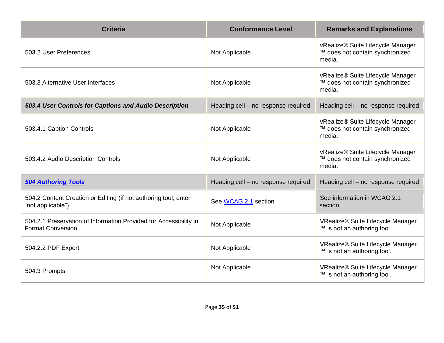| <b>Criteria</b>                                                                               | <b>Conformance Level</b>            | <b>Remarks and Explanations</b>                                                |
|-----------------------------------------------------------------------------------------------|-------------------------------------|--------------------------------------------------------------------------------|
| 503.2 User Preferences                                                                        | Not Applicable                      | vRealize® Suite Lifecycle Manager<br>™ does not contain synchronized<br>media. |
| 503.3 Alternative User Interfaces                                                             | Not Applicable                      | vRealize® Suite Lifecycle Manager<br>™ does not contain synchronized<br>media. |
| 503.4 User Controls for Captions and Audio Description                                        | Heading cell - no response required | Heading cell - no response required                                            |
| 503.4.1 Caption Controls                                                                      | Not Applicable                      | vRealize® Suite Lifecycle Manager<br>™ does not contain synchronized<br>media. |
| 503.4.2 Audio Description Controls                                                            | Not Applicable                      | vRealize® Suite Lifecycle Manager<br>™ does not contain synchronized<br>media. |
| <b>504 Authoring Tools</b>                                                                    | Heading cell - no response required | Heading cell - no response required                                            |
| 504.2 Content Creation or Editing (if not authoring tool, enter<br>"not applicable")          | See WCAG 2.1 section                | See information in WCAG 2.1<br>section                                         |
| 504.2.1 Preservation of Information Provided for Accessibility in<br><b>Format Conversion</b> | Not Applicable                      | VRealize® Suite Lifecycle Manager<br>™ is not an authoring tool.               |
| 504.2.2 PDF Export                                                                            | Not Applicable                      | VRealize® Suite Lifecycle Manager<br>™ is not an authoring tool.               |
| 504.3 Prompts                                                                                 | Not Applicable                      | VRealize® Suite Lifecycle Manager<br>™ is not an authoring tool.               |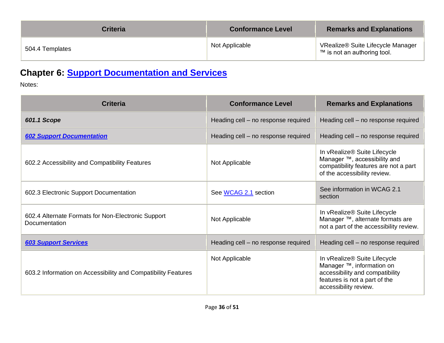| <b>Criteria</b> | <b>Conformance Level</b> | <b>Remarks and Explanations</b>                                  |
|-----------------|--------------------------|------------------------------------------------------------------|
| 504.4 Templates | Not Applicable           | VRealize® Suite Lifecycle Manager<br>™ is not an authoring tool. |

# **Chapter 6: [Support Documentation and Services](https://www.access-board.gov/guidelines-and-standards/communications-and-it/about-the-ict-refresh/final-rule/text-of-the-standards-and-guidelines#601-general)**

Notes:

| <b>Criteria</b>                                                     | <b>Conformance Level</b>            | <b>Remarks and Explanations</b>                                                                                                                        |
|---------------------------------------------------------------------|-------------------------------------|--------------------------------------------------------------------------------------------------------------------------------------------------------|
| 601.1 Scope                                                         | Heading cell - no response required | Heading cell - no response required                                                                                                                    |
| <b>602 Support Documentation</b>                                    | Heading cell - no response required | Heading cell - no response required                                                                                                                    |
| 602.2 Accessibility and Compatibility Features                      | Not Applicable                      | In vRealize® Suite Lifecycle<br>Manager ™, accessibility and<br>compatibility features are not a part<br>of the accessibility review.                  |
| 602.3 Electronic Support Documentation                              | See WCAG 2.1 section                | See information in WCAG 2.1<br>section                                                                                                                 |
| 602.4 Alternate Formats for Non-Electronic Support<br>Documentation | Not Applicable                      | In vRealize® Suite Lifecycle<br>Manager ™, alternate formats are<br>not a part of the accessibility review.                                            |
| <b>603 Support Services</b>                                         | Heading cell - no response required | Heading cell - no response required                                                                                                                    |
| 603.2 Information on Accessibility and Compatibility Features       | Not Applicable                      | In vRealize® Suite Lifecycle<br>Manager ™, information on<br>accessibility and compatibility<br>features is not a part of the<br>accessibility review. |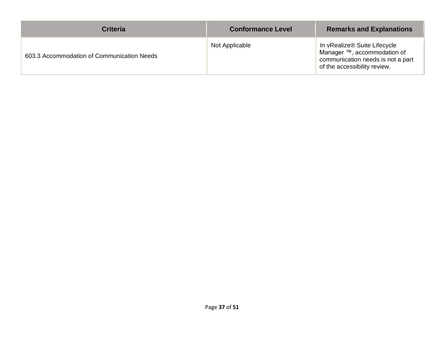| <b>Criteria</b>                            | <b>Conformance Level</b> | <b>Remarks and Explanations</b>                                                                                                  |
|--------------------------------------------|--------------------------|----------------------------------------------------------------------------------------------------------------------------------|
| 603.3 Accommodation of Communication Needs | Not Applicable           | In vRealize® Suite Lifecycle<br>Manager ™, accommodation of<br>communication needs is not a part<br>of the accessibility review. |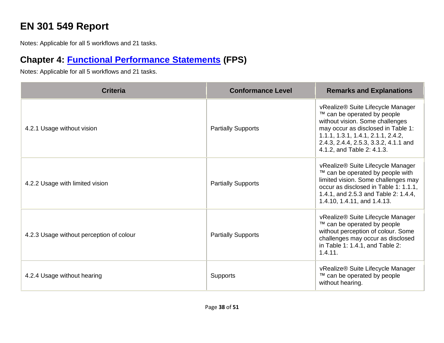# **EN 301 549 Report**

Notes: Applicable for all 5 workflows and 21 tasks.

# **Chapter 4: [Functional Performance Statements](https://www.etsi.org/deliver/etsi_en/301500_301599/301549/03.01.01_60/en_301549v030101p.pdf#%5B%7B%22num%22%3A38%2C%22gen%22%3A0%7D%2C%7B%22name%22%3A%22XYZ%22%7D%2C54%2C747%2C0%5D) (FPS)**

| <b>Criteria</b>                          | <b>Conformance Level</b>  | <b>Remarks and Explanations</b>                                                                                                                                                                                                                        |
|------------------------------------------|---------------------------|--------------------------------------------------------------------------------------------------------------------------------------------------------------------------------------------------------------------------------------------------------|
| 4.2.1 Usage without vision               | <b>Partially Supports</b> | vRealize® Suite Lifecycle Manager<br>™ can be operated by people<br>without vision. Some challenges<br>may occur as disclosed in Table 1:<br>1.1.1, 1.3.1, 1.4.1, 2.1.1, 2.4.2,<br>2.4.3, 2.4.4, 2.5.3, 3.3.2, 4.1.1 and<br>4.1.2, and Table 2: 4.1.3. |
| 4.2.2 Usage with limited vision          | <b>Partially Supports</b> | vRealize® Suite Lifecycle Manager<br>™ can be operated by people with<br>limited vision. Some challenges may<br>occur as disclosed in Table 1: 1.1.1,<br>1.4.1, and 2.5.3 and Table 2: 1.4.4,<br>1.4.10, 1.4.11, and 1.4.13.                           |
| 4.2.3 Usage without perception of colour | <b>Partially Supports</b> | vRealize® Suite Lifecycle Manager<br>™ can be operated by people<br>without perception of colour. Some<br>challenges may occur as disclosed<br>in Table 1: 1.4.1, and Table 2:<br>1.4.11.                                                              |
| 4.2.4 Usage without hearing              | <b>Supports</b>           | vRealize® Suite Lifecycle Manager<br>™ can be operated by people<br>without hearing.                                                                                                                                                                   |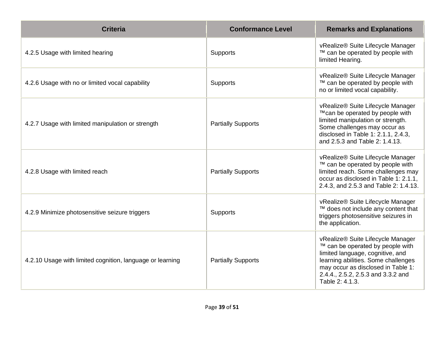| <b>Criteria</b>                                           | <b>Conformance Level</b>  | <b>Remarks and Explanations</b>                                                                                                                                                                                                                 |
|-----------------------------------------------------------|---------------------------|-------------------------------------------------------------------------------------------------------------------------------------------------------------------------------------------------------------------------------------------------|
| 4.2.5 Usage with limited hearing                          | Supports                  | vRealize® Suite Lifecycle Manager<br>™ can be operated by people with<br>limited Hearing.                                                                                                                                                       |
| 4.2.6 Usage with no or limited vocal capability           | Supports                  | vRealize® Suite Lifecycle Manager<br>™ can be operated by people with<br>no or limited vocal capability.                                                                                                                                        |
| 4.2.7 Usage with limited manipulation or strength         | <b>Partially Supports</b> | vRealize® Suite Lifecycle Manager<br>™can be operated by people with<br>limited manipulation or strength.<br>Some challenges may occur as<br>disclosed in Table 1: 2.1.1, 2.4.3,<br>and 2.5.3 and Table 2: 1.4.13.                              |
| 4.2.8 Usage with limited reach                            | <b>Partially Supports</b> | vRealize® Suite Lifecycle Manager<br>™ can be operated by people with<br>limited reach. Some challenges may<br>occur as disclosed in Table 1: 2.1.1,<br>2.4.3, and 2.5.3 and Table 2: 1.4.13.                                                   |
| 4.2.9 Minimize photosensitive seizure triggers            | Supports                  | vRealize® Suite Lifecycle Manager<br>™ does not include any content that<br>triggers photosensitive seizures in<br>the application.                                                                                                             |
| 4.2.10 Usage with limited cognition, language or learning | <b>Partially Supports</b> | vRealize® Suite Lifecycle Manager<br>™ can be operated by people with<br>limited language, cognitive, and<br>learning abilities. Some challenges<br>may occur as disclosed in Table 1:<br>2.4.4., 2.5.2, 2.5.3 and 3.3.2 and<br>Table 2: 4.1.3. |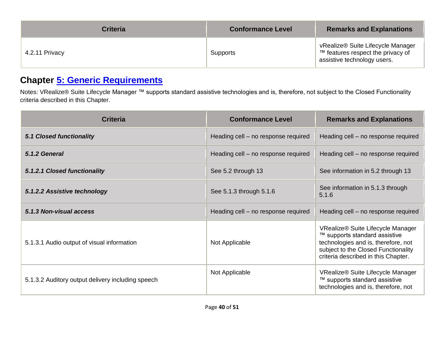| <b>Criteria</b> | <b>Conformance Level</b> | <b>Remarks and Explanations</b>                                                                       |
|-----------------|--------------------------|-------------------------------------------------------------------------------------------------------|
| 4.2.11 Privacy  | Supports                 | vRealize® Suite Lifecycle Manager<br>™ features respect the privacy of<br>assistive technology users. |

#### **Chapter [5: Generic Requirements](https://www.etsi.org/deliver/etsi_en/301500_301599/301549/03.01.01_60/en_301549v030101p.pdf#%5B%7B%22num%22%3A45%2C%22gen%22%3A0%7D%2C%7B%22name%22%3A%22XYZ%22%7D%2C54%2C747%2C0%5D)**

Notes: VRealize® Suite Lifecycle Manager ™ supports standard assistive technologies and is, therefore, not subject to the Closed Functionality criteria described in this Chapter.

| <b>Criteria</b>                                   | <b>Conformance Level</b>            | <b>Remarks and Explanations</b>                                                                                                                                                         |
|---------------------------------------------------|-------------------------------------|-----------------------------------------------------------------------------------------------------------------------------------------------------------------------------------------|
| <b>5.1 Closed functionality</b>                   | Heading cell – no response required | Heading cell - no response required                                                                                                                                                     |
| 5.1.2 General                                     | Heading cell – no response required | Heading cell – no response required                                                                                                                                                     |
| 5.1.2.1 Closed functionality                      | See 5.2 through 13                  | See information in 5.2 through 13                                                                                                                                                       |
| 5.1.2.2 Assistive technology                      | See 5.1.3 through 5.1.6             | See information in 5.1.3 through<br>5.1.6                                                                                                                                               |
| 5.1.3 Non-visual access                           | Heading cell - no response required | Heading cell - no response required                                                                                                                                                     |
| 5.1.3.1 Audio output of visual information        | Not Applicable                      | VRealize® Suite Lifecycle Manager<br>™ supports standard assistive<br>technologies and is, therefore, not<br>subject to the Closed Functionality<br>criteria described in this Chapter. |
| 5.1.3.2 Auditory output delivery including speech | Not Applicable                      | VRealize® Suite Lifecycle Manager<br>™ supports standard assistive<br>technologies and is, therefore, not                                                                               |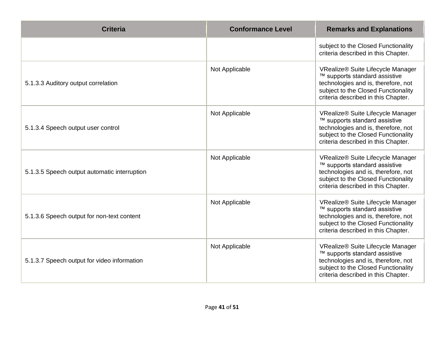| <b>Criteria</b>                              | <b>Conformance Level</b> | <b>Remarks and Explanations</b>                                                                                                                                                         |
|----------------------------------------------|--------------------------|-----------------------------------------------------------------------------------------------------------------------------------------------------------------------------------------|
|                                              |                          | subject to the Closed Functionality<br>criteria described in this Chapter.                                                                                                              |
| 5.1.3.3 Auditory output correlation          | Not Applicable           | VRealize® Suite Lifecycle Manager<br>™ supports standard assistive<br>technologies and is, therefore, not<br>subject to the Closed Functionality<br>criteria described in this Chapter. |
| 5.1.3.4 Speech output user control           | Not Applicable           | VRealize® Suite Lifecycle Manager<br>™ supports standard assistive<br>technologies and is, therefore, not<br>subject to the Closed Functionality<br>criteria described in this Chapter. |
| 5.1.3.5 Speech output automatic interruption | Not Applicable           | VRealize® Suite Lifecycle Manager<br>™ supports standard assistive<br>technologies and is, therefore, not<br>subject to the Closed Functionality<br>criteria described in this Chapter. |
| 5.1.3.6 Speech output for non-text content   | Not Applicable           | VRealize® Suite Lifecycle Manager<br>™ supports standard assistive<br>technologies and is, therefore, not<br>subject to the Closed Functionality<br>criteria described in this Chapter. |
| 5.1.3.7 Speech output for video information  | Not Applicable           | VRealize® Suite Lifecycle Manager<br>™ supports standard assistive<br>technologies and is, therefore, not<br>subject to the Closed Functionality<br>criteria described in this Chapter. |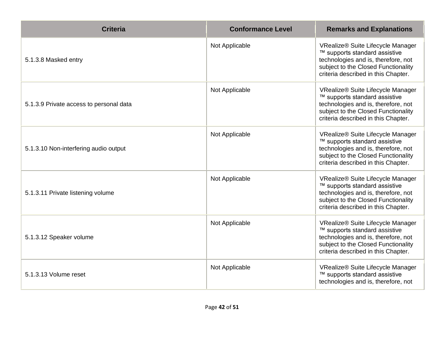| <b>Criteria</b>                         | <b>Conformance Level</b> | <b>Remarks and Explanations</b>                                                                                                                                                         |
|-----------------------------------------|--------------------------|-----------------------------------------------------------------------------------------------------------------------------------------------------------------------------------------|
| 5.1.3.8 Masked entry                    | Not Applicable           | VRealize® Suite Lifecycle Manager<br>™ supports standard assistive<br>technologies and is, therefore, not<br>subject to the Closed Functionality<br>criteria described in this Chapter. |
| 5.1.3.9 Private access to personal data | Not Applicable           | VRealize® Suite Lifecycle Manager<br>™ supports standard assistive<br>technologies and is, therefore, not<br>subject to the Closed Functionality<br>criteria described in this Chapter. |
| 5.1.3.10 Non-interfering audio output   | Not Applicable           | VRealize® Suite Lifecycle Manager<br>™ supports standard assistive<br>technologies and is, therefore, not<br>subject to the Closed Functionality<br>criteria described in this Chapter. |
| 5.1.3.11 Private listening volume       | Not Applicable           | VRealize® Suite Lifecycle Manager<br>™ supports standard assistive<br>technologies and is, therefore, not<br>subject to the Closed Functionality<br>criteria described in this Chapter. |
| 5.1.3.12 Speaker volume                 | Not Applicable           | VRealize® Suite Lifecycle Manager<br>™ supports standard assistive<br>technologies and is, therefore, not<br>subject to the Closed Functionality<br>criteria described in this Chapter. |
| 5.1.3.13 Volume reset                   | Not Applicable           | VRealize® Suite Lifecycle Manager<br>™ supports standard assistive<br>technologies and is, therefore, not                                                                               |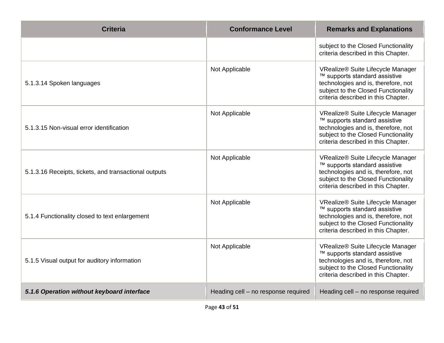| <b>Criteria</b>                                       | <b>Conformance Level</b>            | <b>Remarks and Explanations</b>                                                                                                                                                         |
|-------------------------------------------------------|-------------------------------------|-----------------------------------------------------------------------------------------------------------------------------------------------------------------------------------------|
|                                                       |                                     | subject to the Closed Functionality<br>criteria described in this Chapter.                                                                                                              |
| 5.1.3.14 Spoken languages                             | Not Applicable                      | VRealize® Suite Lifecycle Manager<br>™ supports standard assistive<br>technologies and is, therefore, not<br>subject to the Closed Functionality<br>criteria described in this Chapter. |
| 5.1.3.15 Non-visual error identification              | Not Applicable                      | VRealize® Suite Lifecycle Manager<br>™ supports standard assistive<br>technologies and is, therefore, not<br>subject to the Closed Functionality<br>criteria described in this Chapter. |
| 5.1.3.16 Receipts, tickets, and transactional outputs | Not Applicable                      | VRealize® Suite Lifecycle Manager<br>™ supports standard assistive<br>technologies and is, therefore, not<br>subject to the Closed Functionality<br>criteria described in this Chapter. |
| 5.1.4 Functionality closed to text enlargement        | Not Applicable                      | VRealize® Suite Lifecycle Manager<br>™ supports standard assistive<br>technologies and is, therefore, not<br>subject to the Closed Functionality<br>criteria described in this Chapter. |
| 5.1.5 Visual output for auditory information          | Not Applicable                      | VRealize® Suite Lifecycle Manager<br>™ supports standard assistive<br>technologies and is, therefore, not<br>subject to the Closed Functionality<br>criteria described in this Chapter. |
| 5.1.6 Operation without keyboard interface            | Heading cell - no response required | Heading cell - no response required                                                                                                                                                     |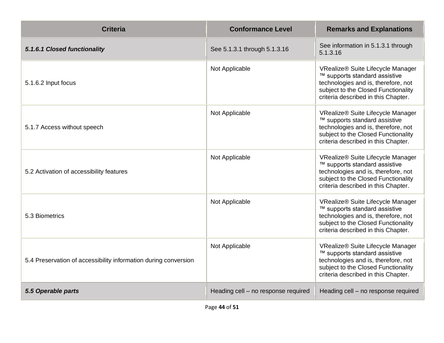| <b>Criteria</b>                                                 | <b>Conformance Level</b>            | <b>Remarks and Explanations</b>                                                                                                                                                         |
|-----------------------------------------------------------------|-------------------------------------|-----------------------------------------------------------------------------------------------------------------------------------------------------------------------------------------|
| 5.1.6.1 Closed functionality                                    | See 5.1.3.1 through 5.1.3.16        | See information in 5.1.3.1 through<br>5.1.3.16                                                                                                                                          |
| 5.1.6.2 Input focus                                             | Not Applicable                      | VRealize® Suite Lifecycle Manager<br>™ supports standard assistive<br>technologies and is, therefore, not<br>subject to the Closed Functionality<br>criteria described in this Chapter. |
| 5.1.7 Access without speech                                     | Not Applicable                      | VRealize® Suite Lifecycle Manager<br>™ supports standard assistive<br>technologies and is, therefore, not<br>subject to the Closed Functionality<br>criteria described in this Chapter. |
| 5.2 Activation of accessibility features                        | Not Applicable                      | VRealize® Suite Lifecycle Manager<br>™ supports standard assistive<br>technologies and is, therefore, not<br>subject to the Closed Functionality<br>criteria described in this Chapter. |
| 5.3 Biometrics                                                  | Not Applicable                      | VRealize® Suite Lifecycle Manager<br>™ supports standard assistive<br>technologies and is, therefore, not<br>subject to the Closed Functionality<br>criteria described in this Chapter. |
| 5.4 Preservation of accessibility information during conversion | Not Applicable                      | VRealize® Suite Lifecycle Manager<br>™ supports standard assistive<br>technologies and is, therefore, not<br>subject to the Closed Functionality<br>criteria described in this Chapter. |
| 5.5 Operable parts                                              | Heading cell - no response required | Heading cell - no response required                                                                                                                                                     |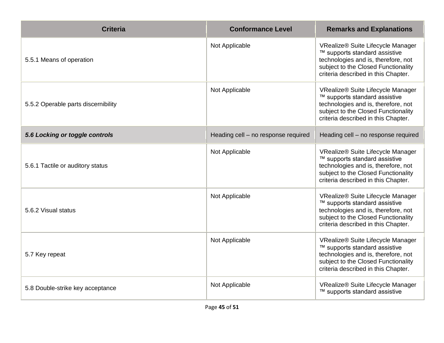| <b>Criteria</b>                     | <b>Conformance Level</b>            | <b>Remarks and Explanations</b>                                                                                                                                                         |
|-------------------------------------|-------------------------------------|-----------------------------------------------------------------------------------------------------------------------------------------------------------------------------------------|
| 5.5.1 Means of operation            | Not Applicable                      | VRealize® Suite Lifecycle Manager<br>™ supports standard assistive<br>technologies and is, therefore, not<br>subject to the Closed Functionality<br>criteria described in this Chapter. |
| 5.5.2 Operable parts discernibility | Not Applicable                      | VRealize® Suite Lifecycle Manager<br>™ supports standard assistive<br>technologies and is, therefore, not<br>subject to the Closed Functionality<br>criteria described in this Chapter. |
| 5.6 Locking or toggle controls      | Heading cell - no response required | Heading cell - no response required                                                                                                                                                     |
| 5.6.1 Tactile or auditory status    | Not Applicable                      | VRealize® Suite Lifecycle Manager<br>™ supports standard assistive<br>technologies and is, therefore, not<br>subject to the Closed Functionality<br>criteria described in this Chapter. |
| 5.6.2 Visual status                 | Not Applicable                      | VRealize® Suite Lifecycle Manager<br>™ supports standard assistive<br>technologies and is, therefore, not<br>subject to the Closed Functionality<br>criteria described in this Chapter. |
| 5.7 Key repeat                      | Not Applicable                      | VRealize® Suite Lifecycle Manager<br>™ supports standard assistive<br>technologies and is, therefore, not<br>subject to the Closed Functionality<br>criteria described in this Chapter. |
| 5.8 Double-strike key acceptance    | Not Applicable                      | VRealize® Suite Lifecycle Manager<br>™ supports standard assistive                                                                                                                      |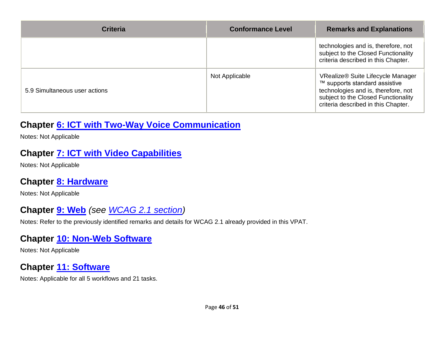| <b>Criteria</b>               | <b>Conformance Level</b> | <b>Remarks and Explanations</b>                                                                                                                                                         |
|-------------------------------|--------------------------|-----------------------------------------------------------------------------------------------------------------------------------------------------------------------------------------|
|                               |                          | technologies and is, therefore, not<br>subject to the Closed Functionality<br>criteria described in this Chapter.                                                                       |
| 5.9 Simultaneous user actions | Not Applicable           | VRealize® Suite Lifecycle Manager<br>™ supports standard assistive<br>technologies and is, therefore, not<br>subject to the Closed Functionality<br>criteria described in this Chapter. |

#### **Chapter [6: ICT with Two-Way Voice Communication](https://www.etsi.org/deliver/etsi_en/301500_301599/301549/03.01.01_60/en_301549v030101p.pdf#%5B%7B%22num%22%3A60%2C%22gen%22%3A0%7D%2C%7B%22name%22%3A%22XYZ%22%7D%2C54%2C747%2C0%5D)**

Notes: Not Applicable

#### **Chapter [7: ICT with Video Capabilities](https://www.etsi.org/deliver/etsi_en/301500_301599/301549/03.01.01_60/en_301549v030101p.pdf#%5B%7B%22num%22%3A70%2C%22gen%22%3A0%7D%2C%7B%22name%22%3A%22XYZ%22%7D%2C54%2C747%2C0%5D)**

Notes: Not Applicable

#### **Chapter [8: Hardware](https://www.etsi.org/deliver/etsi_en/301500_301599/301549/03.01.01_60/en_301549v030101p.pdf#%5B%7B%22num%22%3A74%2C%22gen%22%3A0%7D%2C%7B%22name%22%3A%22XYZ%22%7D%2C54%2C747%2C0%5D)**

Notes: Not Applicable

#### **Chapter [9: Web](https://www.etsi.org/deliver/etsi_en/301500_301599/301549/03.01.01_60/en_301549v030101p.pdf#%5B%7B%22num%22%3A113%2C%22gen%22%3A0%7D%2C%7B%22name%22%3A%22XYZ%22%7D%2C54%2C747%2C0%5D)** *(see [WCAG 2.1](#page-3-0) section)*

Notes: Refer to the previously identified remarks and details for WCAG 2.1 already provided in this VPAT.

#### **Chapter [10: Non-Web Software](https://www.etsi.org/deliver/etsi_en/301500_301599/301549/03.01.01_60/en_301549v030101p.pdf#%5B%7B%22num%22%3A127%2C%22gen%22%3A0%7D%2C%7B%22name%22%3A%22XYZ%22%7D%2C54%2C747%2C0%5D)**

Notes: Not Applicable

#### **Chapter [11: Software](https://www.etsi.org/deliver/etsi_en/301500_301599/301549/03.01.01_60/en_301549v030101p.pdf#%5B%7B%22num%22%3A149%2C%22gen%22%3A0%7D%2C%7B%22name%22%3A%22XYZ%22%7D%2C54%2C747%2C0%5D)**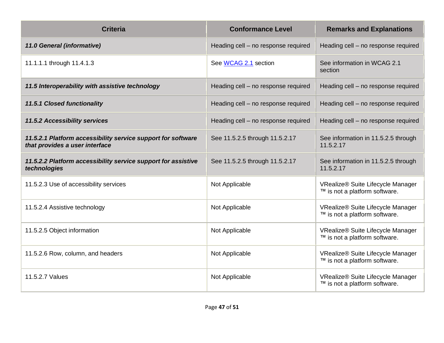| <b>Criteria</b>                                                                                | <b>Conformance Level</b>            | <b>Remarks and Explanations</b>                                    |
|------------------------------------------------------------------------------------------------|-------------------------------------|--------------------------------------------------------------------|
| 11.0 General (informative)                                                                     | Heading cell - no response required | Heading cell - no response required                                |
| 11.1.1.1 through 11.4.1.3                                                                      | See WCAG 2.1 section                | See information in WCAG 2.1<br>section                             |
| 11.5 Interoperability with assistive technology                                                | Heading cell - no response required | Heading cell - no response required                                |
| <b>11.5.1 Closed functionality</b>                                                             | Heading cell - no response required | Heading cell - no response required                                |
| <b>11.5.2 Accessibility services</b>                                                           | Heading cell - no response required | Heading cell - no response required                                |
| 11.5.2.1 Platform accessibility service support for software<br>that provides a user interface | See 11.5.2.5 through 11.5.2.17      | See information in 11.5.2.5 through<br>11.5.2.17                   |
| 11.5.2.2 Platform accessibility service support for assistive<br>technologies                  | See 11.5.2.5 through 11.5.2.17      | See information in 11.5.2.5 through<br>11.5.2.17                   |
| 11.5.2.3 Use of accessibility services                                                         | Not Applicable                      | VRealize® Suite Lifecycle Manager<br>™ is not a platform software. |
| 11.5.2.4 Assistive technology                                                                  | Not Applicable                      | VRealize® Suite Lifecycle Manager<br>™ is not a platform software. |
| 11.5.2.5 Object information                                                                    | Not Applicable                      | VRealize® Suite Lifecycle Manager<br>™ is not a platform software. |
| 11.5.2.6 Row, column, and headers                                                              | Not Applicable                      | VRealize® Suite Lifecycle Manager<br>™ is not a platform software. |
| 11.5.2.7 Values                                                                                | Not Applicable                      | VRealize® Suite Lifecycle Manager<br>™ is not a platform software. |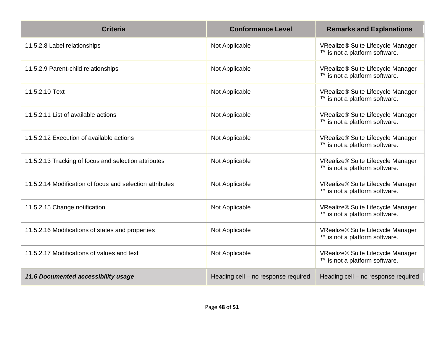| <b>Criteria</b>                                          | <b>Conformance Level</b>            | <b>Remarks and Explanations</b>                                    |
|----------------------------------------------------------|-------------------------------------|--------------------------------------------------------------------|
| 11.5.2.8 Label relationships                             | Not Applicable                      | VRealize® Suite Lifecycle Manager<br>™ is not a platform software. |
| 11.5.2.9 Parent-child relationships                      | Not Applicable                      | VRealize® Suite Lifecycle Manager<br>™ is not a platform software. |
| 11.5.2.10 Text                                           | Not Applicable                      | VRealize® Suite Lifecycle Manager<br>™ is not a platform software. |
| 11.5.2.11 List of available actions                      | Not Applicable                      | VRealize® Suite Lifecycle Manager<br>™ is not a platform software. |
| 11.5.2.12 Execution of available actions                 | Not Applicable                      | VRealize® Suite Lifecycle Manager<br>™ is not a platform software. |
| 11.5.2.13 Tracking of focus and selection attributes     | Not Applicable                      | VRealize® Suite Lifecycle Manager<br>™ is not a platform software. |
| 11.5.2.14 Modification of focus and selection attributes | Not Applicable                      | VRealize® Suite Lifecycle Manager<br>™ is not a platform software. |
| 11.5.2.15 Change notification                            | Not Applicable                      | VRealize® Suite Lifecycle Manager<br>™ is not a platform software. |
| 11.5.2.16 Modifications of states and properties         | Not Applicable                      | VRealize® Suite Lifecycle Manager<br>™ is not a platform software. |
| 11.5.2.17 Modifications of values and text               | Not Applicable                      | VRealize® Suite Lifecycle Manager<br>™ is not a platform software. |
| 11.6 Documented accessibility usage                      | Heading cell - no response required | Heading cell - no response required                                |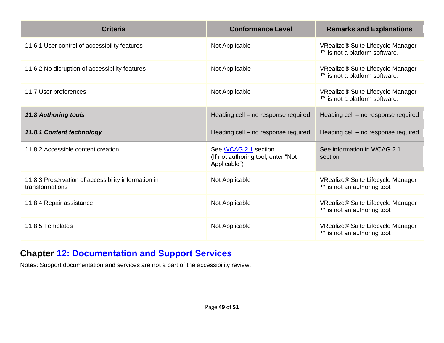| <b>Criteria</b>                                                        | <b>Conformance Level</b>                                                   | <b>Remarks and Explanations</b>                                    |
|------------------------------------------------------------------------|----------------------------------------------------------------------------|--------------------------------------------------------------------|
| 11.6.1 User control of accessibility features                          | Not Applicable                                                             | VRealize® Suite Lifecycle Manager<br>™ is not a platform software. |
| 11.6.2 No disruption of accessibility features                         | Not Applicable                                                             | VRealize® Suite Lifecycle Manager<br>™ is not a platform software. |
| 11.7 User preferences                                                  | Not Applicable                                                             | VRealize® Suite Lifecycle Manager<br>™ is not a platform software. |
| <b>11.8 Authoring tools</b>                                            | Heading cell - no response required                                        | Heading cell - no response required                                |
| 11.8.1 Content technology                                              | Heading cell - no response required                                        | Heading cell - no response required                                |
| 11.8.2 Accessible content creation                                     | See WCAG 2.1 section<br>(If not authoring tool, enter "Not<br>Applicable") | See information in WCAG 2.1<br>section                             |
| 11.8.3 Preservation of accessibility information in<br>transformations | Not Applicable                                                             | VRealize® Suite Lifecycle Manager<br>™ is not an authoring tool.   |
| 11.8.4 Repair assistance                                               | Not Applicable                                                             | VRealize® Suite Lifecycle Manager<br>™ is not an authoring tool.   |
| 11.8.5 Templates                                                       | Not Applicable                                                             | VRealize® Suite Lifecycle Manager<br>™ is not an authoring tool.   |

#### **Chapter [12: Documentation and Support Services](https://www.etsi.org/deliver/etsi_en/301500_301599/301549/03.01.01_60/en_301549v030101p.pdf#%5B%7B%22num%22%3A187%2C%22gen%22%3A0%7D%2C%7B%22name%22%3A%22XYZ%22%7D%2C54%2C747%2C0%5D)**

Notes: Support documentation and services are not a part of the accessibility review.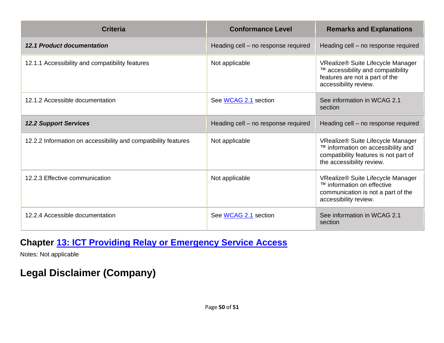| <b>Criteria</b>                                                | <b>Conformance Level</b>            | <b>Remarks and Explanations</b>                                                                                                               |
|----------------------------------------------------------------|-------------------------------------|-----------------------------------------------------------------------------------------------------------------------------------------------|
| <b>12.1 Product documentation</b>                              | Heading cell - no response required | Heading cell - no response required                                                                                                           |
| 12.1.1 Accessibility and compatibility features                | Not applicable                      | VRealize® Suite Lifecycle Manager<br>™ accessibility and compatibility<br>features are not a part of the<br>accessibility review.             |
| 12.1.2 Accessible documentation                                | See WCAG 2.1 section                | See information in WCAG 2.1<br>section                                                                                                        |
| <b>12.2 Support Services</b>                                   | Heading cell - no response required | Heading cell - no response required                                                                                                           |
| 12.2.2 Information on accessibility and compatibility features | Not applicable                      | VRealize® Suite Lifecycle Manager<br>™ information on accessibility and<br>compatibility features is not part of<br>the accessibility review. |
| 12.2.3 Effective communication                                 | Not applicable                      | VRealize® Suite Lifecycle Manager<br>™ information on effective<br>communication is not a part of the<br>accessibility review.                |
| 12.2.4 Accessible documentation                                | See WCAG 2.1 section                | See information in WCAG 2.1<br>section                                                                                                        |

#### **Chapter [13: ICT Providing Relay or Emergency Service Access](https://www.etsi.org/deliver/etsi_en/301500_301599/301549/03.01.01_60/en_301549v030101p.pdf#%5B%7B%22num%22%3A191%2C%22gen%22%3A0%7D%2C%7B%22name%22%3A%22XYZ%22%7D%2C54%2C747%2C0%5D)**

Notes: Not applicable

# **Legal Disclaimer (Company)**